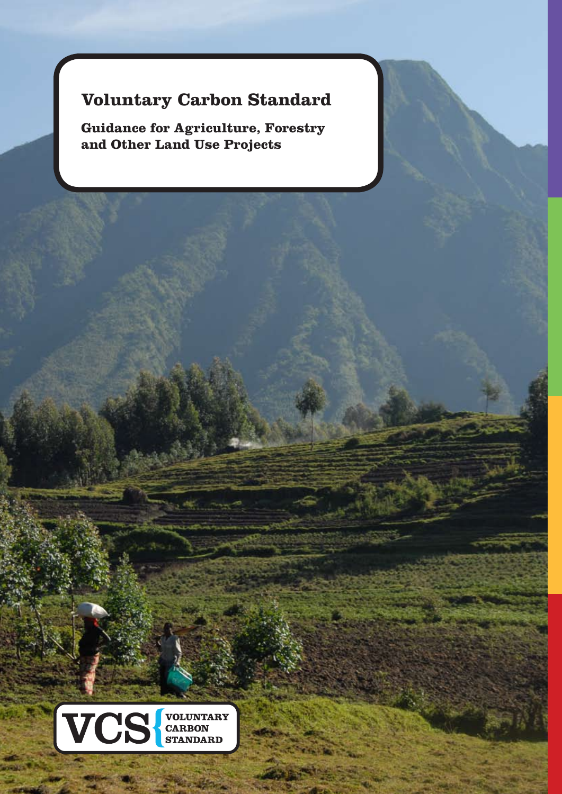# **Voluntary Carbon Standard**

**Guidance for Agriculture, Forestry and Other Land Use Projects**



www.ves.com/www.ves.com/www.ves.com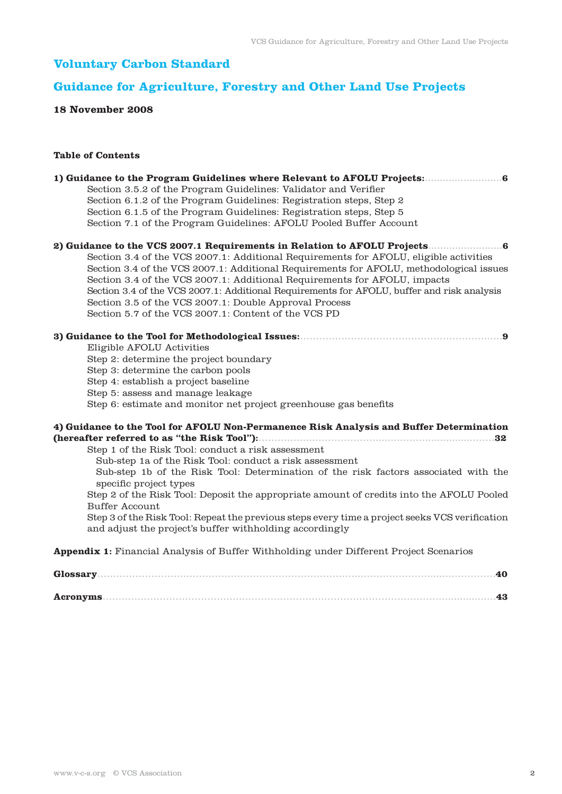# **Voluntary Carbon Standard**

# **Guidance for Agriculture, Forestry and Other Land Use Projects**

# **18 November 2008**

# **Table of Contents**

| Section 3.5.2 of the Program Guidelines: Validator and Verifier                                               |
|---------------------------------------------------------------------------------------------------------------|
| Section 6.1.2 of the Program Guidelines: Registration steps, Step 2                                           |
| Section 6.1.5 of the Program Guidelines: Registration steps, Step 5                                           |
| Section 7.1 of the Program Guidelines: AFOLU Pooled Buffer Account                                            |
|                                                                                                               |
| Section 3.4 of the VCS 2007.1: Additional Requirements for AFOLU, eligible activities                         |
| Section 3.4 of the VCS 2007.1: Additional Requirements for AFOLU, methodological issues                       |
| Section 3.4 of the VCS 2007.1: Additional Requirements for AFOLU, impacts                                     |
| Section 3.4 of the VCS 2007.1: Additional Requirements for AFOLU, buffer and risk analysis                    |
| Section 3.5 of the VCS 2007.1: Double Approval Process                                                        |
| Section 5.7 of the VCS 2007.1: Content of the VCS PD                                                          |
| . 9                                                                                                           |
| Eligible AFOLU Activities                                                                                     |
| Step 2: determine the project boundary                                                                        |
| Step 3: determine the carbon pools                                                                            |
| Step 4: establish a project baseline                                                                          |
| Step 5: assess and manage leakage                                                                             |
| Step 6: estimate and monitor net project greenhouse gas benefits                                              |
| 4) Guidance to the Tool for AFOLU Non-Permanence Risk Analysis and Buffer Determination                       |
| 32                                                                                                            |
| Step 1 of the Risk Tool: conduct a risk assessment                                                            |
| Sub-step 1a of the Risk Tool: conduct a risk assessment                                                       |
| Sub-step 1b of the Risk Tool: Determination of the risk factors associated with the<br>specific project types |
| Step 2 of the Risk Tool: Deposit the appropriate amount of credits into the AFOLU Pooled                      |
| <b>Buffer Account</b>                                                                                         |
| Step 3 of the Risk Tool: Repeat the previous steps every time a project seeks VCS verification                |
| and adjust the project's buffer withholding accordingly                                                       |
| <b>Appendix 1:</b> Financial Analysis of Buffer Withholding under Different Project Scenarios                 |
| Glossary<br>40                                                                                                |
| $-43$                                                                                                         |
|                                                                                                               |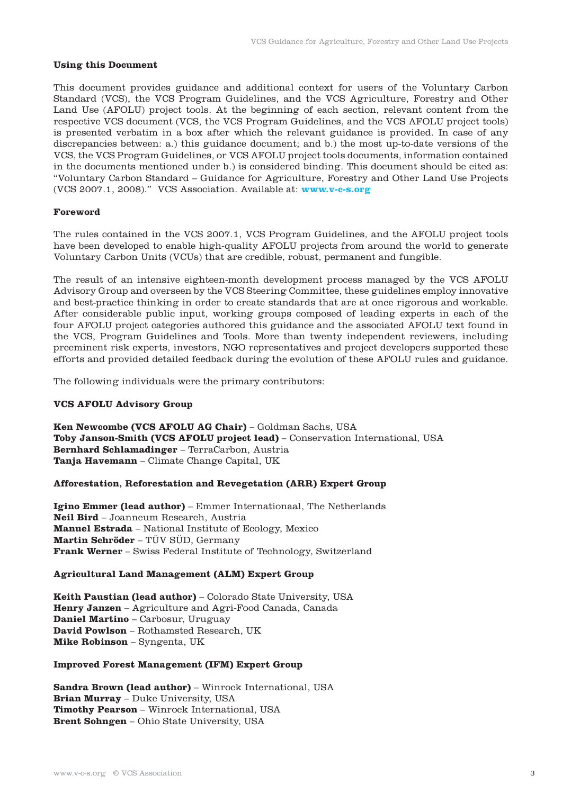### **Using this Document**

This document provides guidance and additional context for users of the Voluntary Carbon Standard (VCS), the VCS Program Guidelines, and the VCS Agriculture, Forestry and Other Land Use (AFOLU) project tools. At the beginning of each section, relevant content from the respective VCS document (VCS, the VCS Program Guidelines, and the VCS AFOLU project tools) is presented verbatim in a box after which the relevant guidance is provided. In case of any discrepancies between: a.) this guidance document; and b.) the most up-to-date versions of the VCS, the VCS Program Guidelines, or VCS AFOLU project tools documents, information contained in the documents mentioned under b.) is considered binding. This document should be cited as: "Voluntary Carbon Standard – Guidance for Agriculture, Forestry and Other Land Use Projects (VCS 2007.1, 2008)." VCS Association. Available at: **www.v-c-s.org**

## **Foreword**

The rules contained in the VCS 2007.1, VCS Program Guidelines, and the AFOLU project tools have been developed to enable high-quality AFOLU projects from around the world to generate Voluntary Carbon Units (VCUs) that are credible, robust, permanent and fungible.

The result of an intensive eighteen-month development process managed by the VCS AFOLU Advisory Group and overseen by the VCS Steering Committee, these guidelines employ innovative and best-practice thinking in order to create standards that are at once rigorous and workable. After considerable public input, working groups composed of leading experts in each of the four AFOLU project categories authored this guidance and the associated AFOLU text found in the VCS, Program Guidelines and Tools. More than twenty independent reviewers, including preeminent risk experts, investors, NGO representatives and project developers supported these efforts and provided detailed feedback during the evolution of these AFOLU rules and guidance.

The following individuals were the primary contributors:

#### **VCS AFOLU Advisory Group**

**Ken Newcombe (VCS AFOLU AG Chair)** – Goldman Sachs, USA **Toby Janson-Smith (VCS AFOLU project lead)** – Conservation International, USA **Bernhard Schlamadinger** – TerraCarbon, Austria **Tanja Havemann** – Climate Change Capital, UK

#### **Afforestation, Reforestation and Revegetation (ARR) Expert Group**

**Igino Emmer (lead author)** – Emmer Internationaal, The Netherlands **Neil Bird** – Joanneum Research, Austria **Manuel Estrada** – National Institute of Ecology, Mexico **Martin Schröder** – TÜV SÜD, Germany **Frank Werner** – Swiss Federal Institute of Technology, Switzerland

#### **Agricultural Land Management (ALM) Expert Group**

**Keith Paustian (lead author)** – Colorado State University, USA **Henry Janzen** – Agriculture and Agri-Food Canada, Canada **Daniel Martino** – Carbosur, Uruguay **David Powlson** – Rothamsted Research, UK **Mike Robinson** – Syngenta, UK

# **Improved Forest Management (IFM) Expert Group**

**Sandra Brown (lead author)** – Winrock International, USA **Brian Murray** – Duke University, USA **Timothy Pearson** – Winrock International, USA **Brent Sohngen** – Ohio State University, USA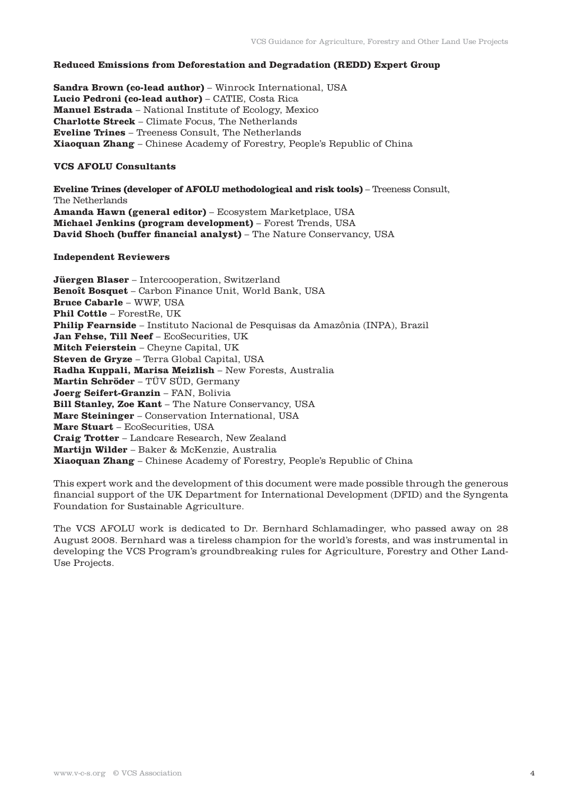# **Reduced Emissions from Deforestation and Degradation (REDD) Expert Group**

**Sandra Brown (co-lead author)** – Winrock International, USA **Lucio Pedroni (co-lead author)** – CATIE, Costa Rica **Manuel Estrada** – National Institute of Ecology, Mexico **Charlotte Streck** – Climate Focus, The Netherlands **Eveline Trines** – Treeness Consult, The Netherlands **Xiaoquan Zhang** – Chinese Academy of Forestry, People's Republic of China

# **VCS AFOLU Consultants**

**Eveline Trines (developer of AFOLU methodological and risk tools)** – Treeness Consult, The Netherlands **Amanda Hawn (general editor)** – Ecosystem Marketplace, USA **Michael Jenkins (program development)** – Forest Trends, USA **David Shoch (buffer financial analyst)** – The Nature Conservancy, USA

# **Independent Reviewers**

**Jüergen Blaser** – Intercooperation, Switzerland **Benoît Bosquet** – Carbon Finance Unit, World Bank, USA **Bruce Cabarle** – WWF, USA **Phil Cottle** – ForestRe, UK **Philip Fearnside** – Instituto Nacional de Pesquisas da Amazônia (INPA), Brazil **Jan Fehse, Till Neef** – EcoSecurities, UK **Mitch Feierstein** – Cheyne Capital, UK **Steven de Gryze** – Terra Global Capital, USA **Radha Kuppali, Marisa Meizlish** – New Forests, Australia **Martin Schröder** – TÜV SÜD, Germany **Joerg Seifert-Granzin** – FAN, Bolivia **Bill Stanley, Zoe Kant** – The Nature Conservancy, USA **Marc Steininger** – Conservation International, USA **Marc Stuart** – EcoSecurities, USA **Craig Trotter** – Landcare Research, New Zealand **Martijn Wilder** – Baker & McKenzie, Australia **Xiaoquan Zhang** – Chinese Academy of Forestry, People's Republic of China

This expert work and the development of this document were made possible through the generous financial support of the UK Department for International Development (DFID) and the Syngenta Foundation for Sustainable Agriculture.

The VCS AFOLU work is dedicated to Dr. Bernhard Schlamadinger, who passed away on 28 August 2008. Bernhard was a tireless champion for the world's forests, and was instrumental in developing the VCS Program's groundbreaking rules for Agriculture, Forestry and Other Land-Use Projects.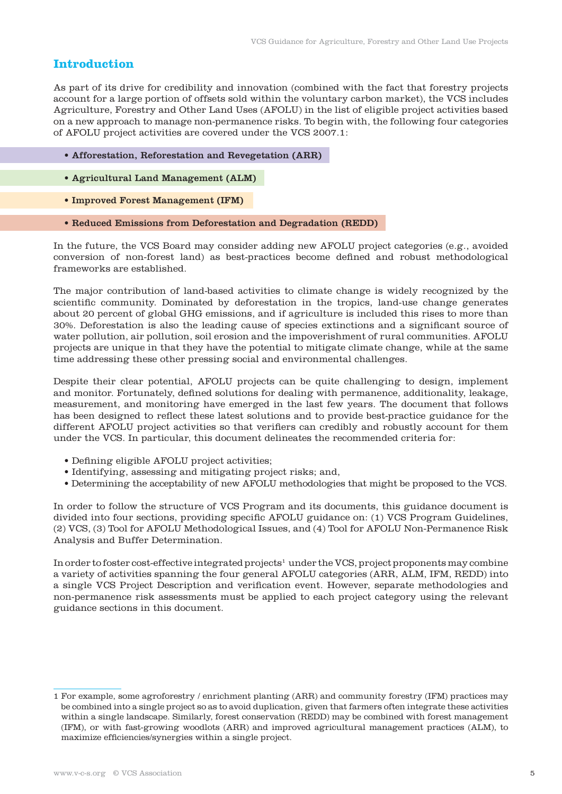# **Introduction**

As part of its drive for credibility and innovation (combined with the fact that forestry projects account for a large portion of offsets sold within the voluntary carbon market), the VCS includes Agriculture, Forestry and Other Land Uses (AFOLU) in the list of eligible project activities based on a new approach to manage non-permanence risks. To begin with, the following four categories of AFOLU project activities are covered under the VCS 2007.1:

- Afforestation, Reforestation and Revegetation (ARR)
- Agricultural Land Management (ALM)
- Improved Forest Management (IFM)
- Reduced Emissions from Deforestation and Degradation (REDD)

In the future, the VCS Board may consider adding new AFOLU project categories (e.g., avoided conversion of non-forest land) as best-practices become defined and robust methodological frameworks are established.

The major contribution of land-based activities to climate change is widely recognized by the scientific community. Dominated by deforestation in the tropics, land-use change generates about 20 percent of global GHG emissions, and if agriculture is included this rises to more than 30%. Deforestation is also the leading cause of species extinctions and a significant source of water pollution, air pollution, soil erosion and the impoverishment of rural communities. AFOLU projects are unique in that they have the potential to mitigate climate change, while at the same time addressing these other pressing social and environmental challenges.

Despite their clear potential, AFOLU projects can be quite challenging to design, implement and monitor. Fortunately, defined solutions for dealing with permanence, additionality, leakage, measurement, and monitoring have emerged in the last few years. The document that follows has been designed to reflect these latest solutions and to provide best-practice guidance for the different AFOLU project activities so that verifiers can credibly and robustly account for them under the VCS. In particular, this document delineates the recommended criteria for:

- Defining eligible AFOLU project activities;
- Identifying, assessing and mitigating project risks; and,
- Determining the acceptability of new AFOLU methodologies that might be proposed to the VCS.

In order to follow the structure of VCS Program and its documents, this guidance document is divided into four sections, providing specific AFOLU guidance on: (1) VCS Program Guidelines, (2) VCS, (3) Tool for AFOLU Methodological Issues, and (4) Tool for AFOLU Non-Permanence Risk Analysis and Buffer Determination.

In order to foster cost-effective integrated projects<sup>1</sup> under the VCS, project proponents may combine a variety of activities spanning the four general AFOLU categories (ARR, ALM, IFM, REDD) into a single VCS Project Description and verification event. However, separate methodologies and non-permanence risk assessments must be applied to each project category using the relevant guidance sections in this document.

<sup>1</sup> For example, some agroforestry / enrichment planting (ARR) and community forestry (IFM) practices may be combined into a single project so as to avoid duplication, given that farmers often integrate these activities within a single landscape. Similarly, forest conservation (REDD) may be combined with forest management (IFM), or with fast-growing woodlots (ARR) and improved agricultural management practices (ALM), to maximize efficiencies/synergies within a single project.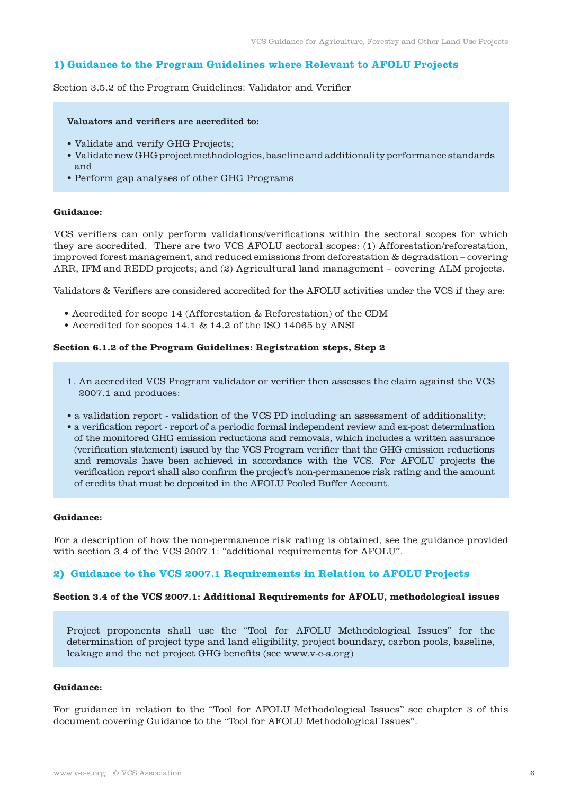# **1) Guidance to the Program Guidelines where Relevant to AFOLU Projects**

Section 3.5.2 of the Program Guidelines: Validator and Verifier

#### Valuators and verifiers are accredited to:

- Validate and verify GHG Projects;
- Validate new GHG project methodologies, baseline and additionality performance standards and
- Perform gap analyses of other GHG Programs

#### **Guidance:**

VCS verifiers can only perform validations/verifications within the sectoral scopes for which they are accredited. There are two VCS AFOLU sectoral scopes: (1) Afforestation/reforestation, improved forest management, and reduced emissions from deforestation & degradation – covering ARR, IFM and REDD projects; and (2) Agricultural land management – covering ALM projects.

Validators & Verifiers are considered accredited for the AFOLU activities under the VCS if they are:

- Accredited for scope 14 (Afforestation & Reforestation) of the CDM
- Accredited for scopes 14.1 & 14.2 of the ISO 14065 by ANSI

# **Section 6.1.2 of the Program Guidelines: Registration steps, Step 2**

- 1. An accredited VCS Program validator or verifier then assesses the claim against the VCS 2007.1 and produces:
- a validation report validation of the VCS PD including an assessment of additionality;
- a verification report report of a periodic formal independent review and ex-post determination of the monitored GHG emission reductions and removals, which includes a written assurance (verification statement) issued by the VCS Program verifier that the GHG emission reductions and removals have been achieved in accordance with the VCS. For AFOLU projects the verification report shall also confirm the project's non-permanence risk rating and the amount of credits that must be deposited in the AFOLU Pooled Buffer Account.

#### **Guidance:**

For a description of how the non-permanence risk rating is obtained, see the guidance provided with section 3.4 of the VCS 2007.1: "additional requirements for AFOLU".

### **2) Guidance to the VCS 2007.1 Requirements in Relation to AFOLU Projects**

#### **Section 3.4 of the VCS 2007.1: Additional Requirements for AFOLU, methodological issues**

Project proponents shall use the "Tool for AFOLU Methodological Issues" for the determination of project type and land eligibility, project boundary, carbon pools, baseline, leakage and the net project GHG benefits (see www.v-c-s.org)

## **Guidance:**

For guidance in relation to the "Tool for AFOLU Methodological Issues" see chapter 3 of this document covering Guidance to the "Tool for AFOLU Methodological Issues".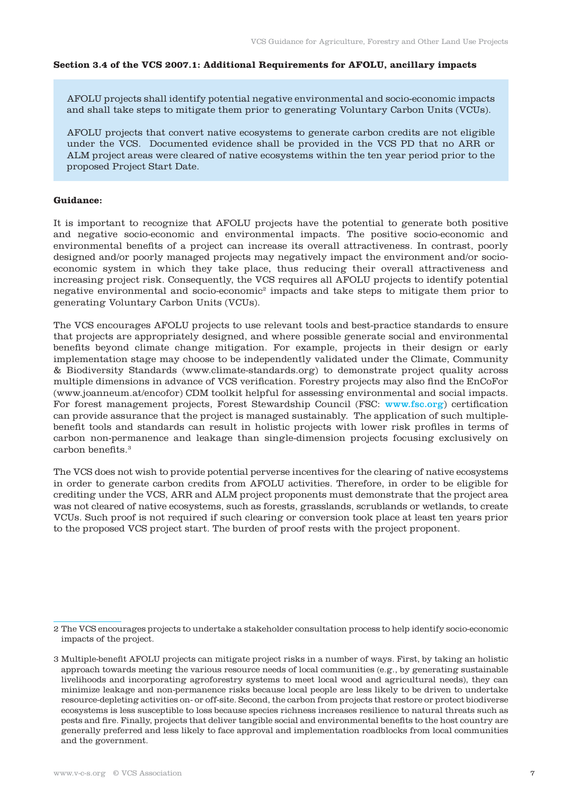#### **Section 3.4 of the VCS 2007.1: Additional Requirements for AFOLU, ancillary impacts**

AFOLU projects shall identify potential negative environmental and socio-economic impacts and shall take steps to mitigate them prior to generating Voluntary Carbon Units (VCUs).

AFOLU projects that convert native ecosystems to generate carbon credits are not eligible under the VCS. Documented evidence shall be provided in the VCS PD that no ARR or ALM project areas were cleared of native ecosystems within the ten year period prior to the proposed Project Start Date.

# **Guidance:**

It is important to recognize that AFOLU projects have the potential to generate both positive and negative socio-economic and environmental impacts. The positive socio-economic and environmental benefits of a project can increase its overall attractiveness. In contrast, poorly designed and/or poorly managed projects may negatively impact the environment and/or socioeconomic system in which they take place, thus reducing their overall attractiveness and increasing project risk. Consequently, the VCS requires all AFOLU projects to identify potential negative environmental and socio-economic2 impacts and take steps to mitigate them prior to generating Voluntary Carbon Units (VCUs).

The VCS encourages AFOLU projects to use relevant tools and best-practice standards to ensure that projects are appropriately designed, and where possible generate social and environmental benefits beyond climate change mitigation. For example, projects in their design or early implementation stage may choose to be independently validated under the Climate, Community & Biodiversity Standards (www.climate-standards.org) to demonstrate project quality across multiple dimensions in advance of VCS verification. Forestry projects may also find the EnCoFor (www.joanneum.at/encofor) CDM toolkit helpful for assessing environmental and social impacts. For forest management projects, Forest Stewardship Council (FSC: www.fsc.org) certification can provide assurance that the project is managed sustainably. The application of such multiplebenefit tools and standards can result in holistic projects with lower risk profiles in terms of carbon non-permanence and leakage than single-dimension projects focusing exclusively on carbon benefits.3

The VCS does not wish to provide potential perverse incentives for the clearing of native ecosystems in order to generate carbon credits from AFOLU activities. Therefore, in order to be eligible for crediting under the VCS, ARR and ALM project proponents must demonstrate that the project area was not cleared of native ecosystems, such as forests, grasslands, scrublands or wetlands, to create VCUs. Such proof is not required if such clearing or conversion took place at least ten years prior to the proposed VCS project start. The burden of proof rests with the project proponent.

<sup>2</sup> The VCS encourages projects to undertake a stakeholder consultation process to help identify socio-economic impacts of the project.

<sup>3</sup> Multiple-benefit AFOLU projects can mitigate project risks in a number of ways. First, by taking an holistic approach towards meeting the various resource needs of local communities (e.g., by generating sustainable livelihoods and incorporating agroforestry systems to meet local wood and agricultural needs), they can minimize leakage and non-permanence risks because local people are less likely to be driven to undertake resource-depleting activities on- or off-site. Second, the carbon from projects that restore or protect biodiverse ecosystems is less susceptible to loss because species richness increases resilience to natural threats such as pests and fire. Finally, projects that deliver tangible social and environmental benefits to the host country are generally preferred and less likely to face approval and implementation roadblocks from local communities and the government.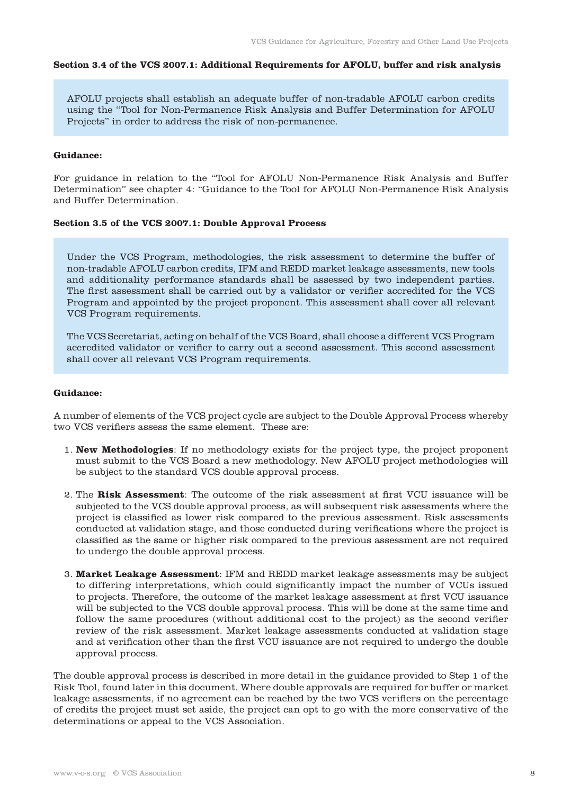#### **Section 3.4 of the VCS 2007.1: Additional Requirements for AFOLU, buffer and risk analysis**

AFOLU projects shall establish an adequate buffer of non-tradable AFOLU carbon credits using the "Tool for Non-Permanence Risk Analysis and Buffer Determination for AFOLU Projects" in order to address the risk of non-permanence.

#### **Guidance:**

For guidance in relation to the "Tool for AFOLU Non-Permanence Risk Analysis and Buffer Determination" see chapter 4: "Guidance to the Tool for AFOLU Non-Permanence Risk Analysis and Buffer Determination.

# **Section 3.5 of the VCS 2007.1: Double Approval Process**

Under the VCS Program, methodologies, the risk assessment to determine the buffer of non-tradable AFOLU carbon credits, IFM and REDD market leakage assessments, new tools and additionality performance standards shall be assessed by two independent parties. The first assessment shall be carried out by a validator or verifier accredited for the VCS Program and appointed by the project proponent. This assessment shall cover all relevant VCS Program requirements.

The VCS Secretariat, acting on behalf of the VCS Board, shall choose a different VCS Program accredited validator or verifier to carry out a second assessment. This second assessment shall cover all relevant VCS Program requirements.

#### **Guidance:**

A number of elements of the VCS project cycle are subject to the Double Approval Process whereby two VCS verifiers assess the same element. These are:

- 1. **New Methodologies**: If no methodology exists for the project type, the project proponent must submit to the VCS Board a new methodology. New AFOLU project methodologies will be subject to the standard VCS double approval process.
- 2. The **Risk Assessment**: The outcome of the risk assessment at first VCU issuance will be subjected to the VCS double approval process, as will subsequent risk assessments where the project is classified as lower risk compared to the previous assessment. Risk assessments conducted at validation stage, and those conducted during verifications where the project is classified as the same or higher risk compared to the previous assessment are not required to undergo the double approval process.
- 3. **Market Leakage Assessment**: IFM and REDD market leakage assessments may be subject to differing interpretations, which could significantly impact the number of VCUs issued to projects. Therefore, the outcome of the market leakage assessment at first VCU issuance will be subjected to the VCS double approval process. This will be done at the same time and follow the same procedures (without additional cost to the project) as the second verifier review of the risk assessment. Market leakage assessments conducted at validation stage and at verification other than the first VCU issuance are not required to undergo the double approval process.

The double approval process is described in more detail in the guidance provided to Step 1 of the Risk Tool, found later in this document. Where double approvals are required for buffer or market leakage assessments, if no agreement can be reached by the two VCS verifiers on the percentage of credits the project must set aside, the project can opt to go with the more conservative of the determinations or appeal to the VCS Association.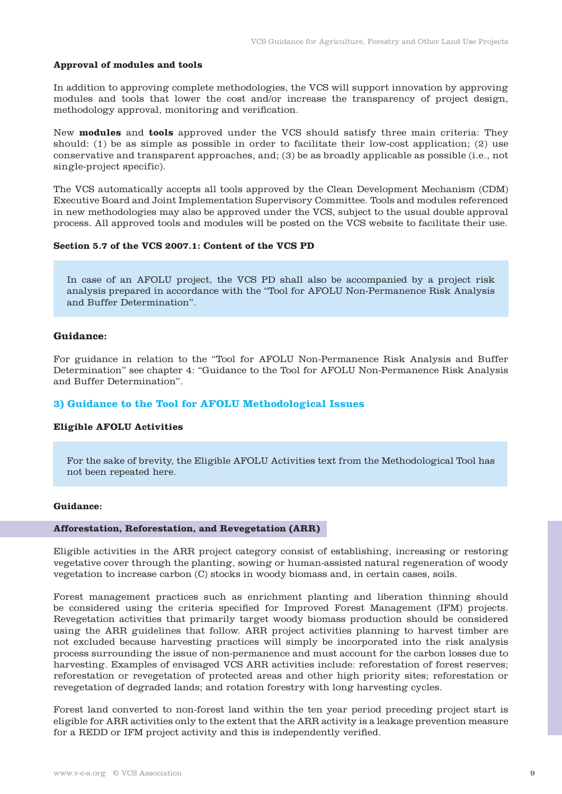#### **Approval of modules and tools**

In addition to approving complete methodologies, the VCS will support innovation by approving modules and tools that lower the cost and/or increase the transparency of project design, methodology approval, monitoring and verification.

New **modules** and **tools** approved under the VCS should satisfy three main criteria: They should: (1) be as simple as possible in order to facilitate their low-cost application; (2) use conservative and transparent approaches, and; (3) be as broadly applicable as possible (i.e., not single-project specific).

The VCS automatically accepts all tools approved by the Clean Development Mechanism (CDM) Executive Board and Joint Implementation Supervisory Committee. Tools and modules referenced in new methodologies may also be approved under the VCS, subject to the usual double approval process. All approved tools and modules will be posted on the VCS website to facilitate their use.

#### **Section 5.7 of the VCS 2007.1: Content of the VCS PD**

In case of an AFOLU project, the VCS PD shall also be accompanied by a project risk analysis prepared in accordance with the "Tool for AFOLU Non-Permanence Risk Analysis and Buffer Determination".

#### **Guidance:**

For guidance in relation to the "Tool for AFOLU Non-Permanence Risk Analysis and Buffer Determination" see chapter 4: "Guidance to the Tool for AFOLU Non-Permanence Risk Analysis and Buffer Determination".

#### **3) Guidance to the Tool for AFOLU Methodological Issues**

# **Eligible AFOLU Activities**

For the sake of brevity, the Eligible AFOLU Activities text from the Methodological Tool has not been repeated here.

#### **Guidance:**

#### **Afforestation, Reforestation, and Revegetation (ARR)**

Eligible activities in the ARR project category consist of establishing, increasing or restoring vegetative cover through the planting, sowing or human-assisted natural regeneration of woody vegetation to increase carbon (C) stocks in woody biomass and, in certain cases, soils.

Forest management practices such as enrichment planting and liberation thinning should be considered using the criteria specified for Improved Forest Management (IFM) projects. Revegetation activities that primarily target woody biomass production should be considered using the ARR guidelines that follow. ARR project activities planning to harvest timber are not excluded because harvesting practices will simply be incorporated into the risk analysis process surrounding the issue of non-permanence and must account for the carbon losses due to harvesting. Examples of envisaged VCS ARR activities include: reforestation of forest reserves; reforestation or revegetation of protected areas and other high priority sites; reforestation or revegetation of degraded lands; and rotation forestry with long harvesting cycles.

Forest land converted to non-forest land within the ten year period preceding project start is eligible for ARR activities only to the extent that the ARR activity is a leakage prevention measure for a REDD or IFM project activity and this is independently verified.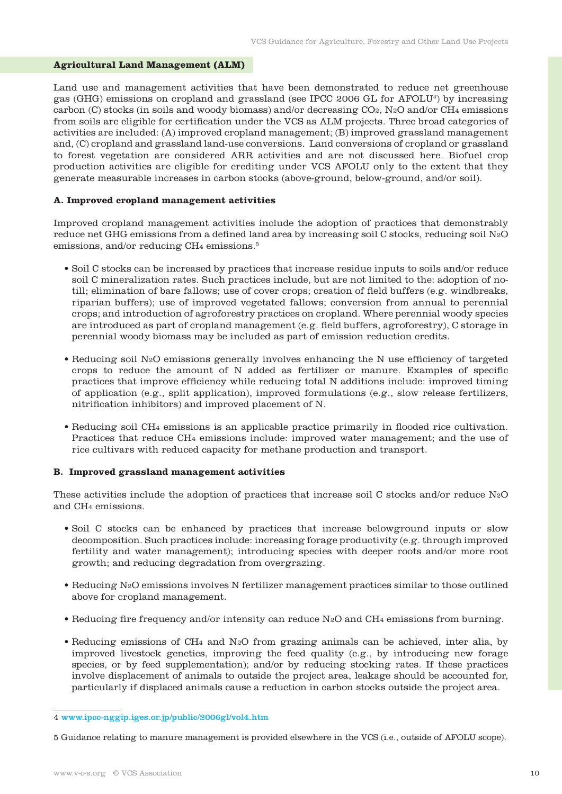### **Agricultural Land Management (ALM)**

Land use and management activities that have been demonstrated to reduce net greenhouse gas (GHG) emissions on cropland and grassland (see IPCC 2006 GL for AFOLU4) by increasing carbon (C) stocks (in soils and woody biomass) and/or decreasing CO2, N2O and/or CH4 emissions from soils are eligible for certification under the VCS as ALM projects. Three broad categories of activities are included: (A) improved cropland management; (B) improved grassland management and, (C) cropland and grassland land-use conversions. Land conversions of cropland or grassland to forest vegetation are considered ARR activities and are not discussed here. Biofuel crop production activities are eligible for crediting under VCS AFOLU only to the extent that they generate measurable increases in carbon stocks (above-ground, below-ground, and/or soil).

#### **A. Improved cropland management activities**

Improved cropland management activities include the adoption of practices that demonstrably reduce net GHG emissions from a defined land area by increasing soil C stocks, reducing soil N2O emissions, and/or reducing CH<sub>4</sub> emissions.<sup>5</sup>

- Soil C stocks can be increased by practices that increase residue inputs to soils and/or reduce soil C mineralization rates. Such practices include, but are not limited to the: adoption of notill; elimination of bare fallows; use of cover crops; creation of field buffers (e.g. windbreaks, riparian buffers); use of improved vegetated fallows; conversion from annual to perennial crops; and introduction of agroforestry practices on cropland. Where perennial woody species are introduced as part of cropland management (e.g. field buffers, agroforestry), C storage in perennial woody biomass may be included as part of emission reduction credits.
- Reducing soil N2O emissions generally involves enhancing the N use efficiency of targeted crops to reduce the amount of N added as fertilizer or manure. Examples of specific practices that improve efficiency while reducing total N additions include: improved timing of application (e.g., split application), improved formulations (e.g., slow release fertilizers, nitrification inhibitors) and improved placement of N.
- Reducing soil CH4 emissions is an applicable practice primarily in flooded rice cultivation. Practices that reduce CH4 emissions include: improved water management; and the use of rice cultivars with reduced capacity for methane production and transport.

# **B. Improved grassland management activities**

These activities include the adoption of practices that increase soil C stocks and/or reduce N2O and CH4 emissions.

- Soil C stocks can be enhanced by practices that increase belowground inputs or slow decomposition. Such practices include: increasing forage productivity (e.g. through improved fertility and water management); introducing species with deeper roots and/or more root growth; and reducing degradation from overgrazing.
- Reducing N2O emissions involves N fertilizer management practices similar to those outlined above for cropland management.
- Reducing fire frequency and/or intensity can reduce N2O and CH4 emissions from burning.
- Reducing emissions of CH4 and N2O from grazing animals can be achieved, inter alia, by improved livestock genetics, improving the feed quality (e.g., by introducing new forage species, or by feed supplementation); and/or by reducing stocking rates. If these practices involve displacement of animals to outside the project area, leakage should be accounted for, particularly if displaced animals cause a reduction in carbon stocks outside the project area.

<sup>4</sup> www.ipcc-nggip.iges.or.jp/public/2006gl/vol4.htm

<sup>5</sup> Guidance relating to manure management is provided elsewhere in the VCS (i.e., outside of AFOLU scope).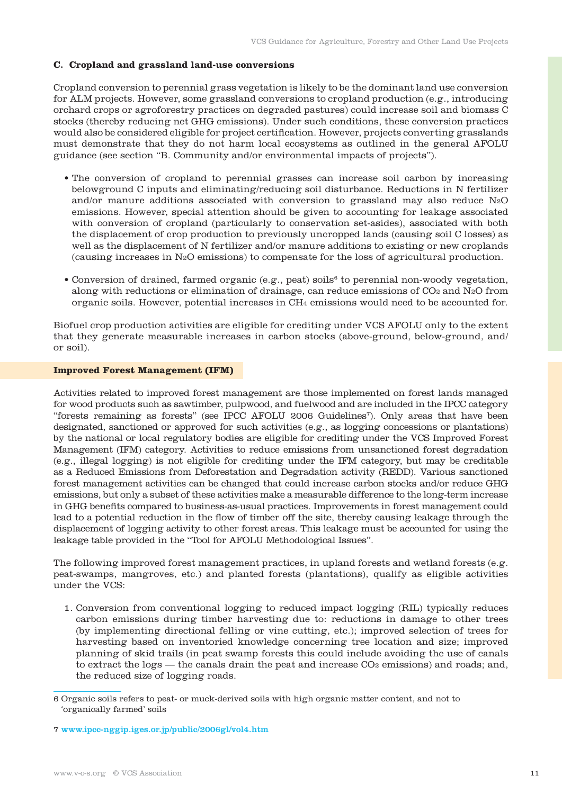### **C. Cropland and grassland land-use conversions**

Cropland conversion to perennial grass vegetation is likely to be the dominant land use conversion for ALM projects. However, some grassland conversions to cropland production (e.g., introducing orchard crops or agroforestry practices on degraded pastures) could increase soil and biomass C stocks (thereby reducing net GHG emissions). Under such conditions, these conversion practices would also be considered eligible for project certification. However, projects converting grasslands must demonstrate that they do not harm local ecosystems as outlined in the general AFOLU guidance (see section "B. Community and/or environmental impacts of projects").

- The conversion of cropland to perennial grasses can increase soil carbon by increasing belowground C inputs and eliminating/reducing soil disturbance. Reductions in N fertilizer and/or manure additions associated with conversion to grassland may also reduce N2O emissions. However, special attention should be given to accounting for leakage associated with conversion of cropland (particularly to conservation set-asides), associated with both the displacement of crop production to previously uncropped lands (causing soil C losses) as well as the displacement of N fertilizer and/or manure additions to existing or new croplands (causing increases in N2O emissions) to compensate for the loss of agricultural production.
- Conversion of drained, farmed organic (e.g., peat) soils<sup>6</sup> to perennial non-woody vegetation, along with reductions or elimination of drainage, can reduce emissions of  $CO<sub>2</sub>$  and N<sub>2</sub>O from organic soils. However, potential increases in CH4 emissions would need to be accounted for.

Biofuel crop production activities are eligible for crediting under VCS AFOLU only to the extent that they generate measurable increases in carbon stocks (above-ground, below-ground, and/ or soil).

#### **Improved Forest Management (IFM)**

Activities related to improved forest management are those implemented on forest lands managed for wood products such as sawtimber, pulpwood, and fuelwood and are included in the IPCC category "forests remaining as forests" (see IPCC AFOLU 2006 Guidelines7). Only areas that have been designated, sanctioned or approved for such activities (e.g., as logging concessions or plantations) by the national or local regulatory bodies are eligible for crediting under the VCS Improved Forest Management (IFM) category. Activities to reduce emissions from unsanctioned forest degradation (e.g., illegal logging) is not eligible for crediting under the IFM category, but may be creditable as a Reduced Emissions from Deforestation and Degradation activity (REDD). Various sanctioned forest management activities can be changed that could increase carbon stocks and/or reduce GHG emissions, but only a subset of these activities make a measurable difference to the long-term increase in GHG benefits compared to business-as-usual practices. Improvements in forest management could lead to a potential reduction in the flow of timber off the site, thereby causing leakage through the displacement of logging activity to other forest areas. This leakage must be accounted for using the leakage table provided in the "Tool for AFOLU Methodological Issues".

The following improved forest management practices, in upland forests and wetland forests (e.g. peat-swamps, mangroves, etc.) and planted forests (plantations), qualify as eligible activities under the VCS:

1. Conversion from conventional logging to reduced impact logging (RIL) typically reduces carbon emissions during timber harvesting due to: reductions in damage to other trees (by implementing directional felling or vine cutting, etc.); improved selection of trees for harvesting based on inventoried knowledge concerning tree location and size; improved planning of skid trails (in peat swamp forests this could include avoiding the use of canals to extract the logs — the canals drain the peat and increase  $CO<sub>2</sub>$  emissions) and roads; and, the reduced size of logging roads.

<sup>6</sup> Organic soils refers to peat- or muck-derived soils with high organic matter content, and not to 'organically farmed' soils

<sup>7</sup> www.ipcc-nggip.iges.or.jp/public/2006gl/vol4.htm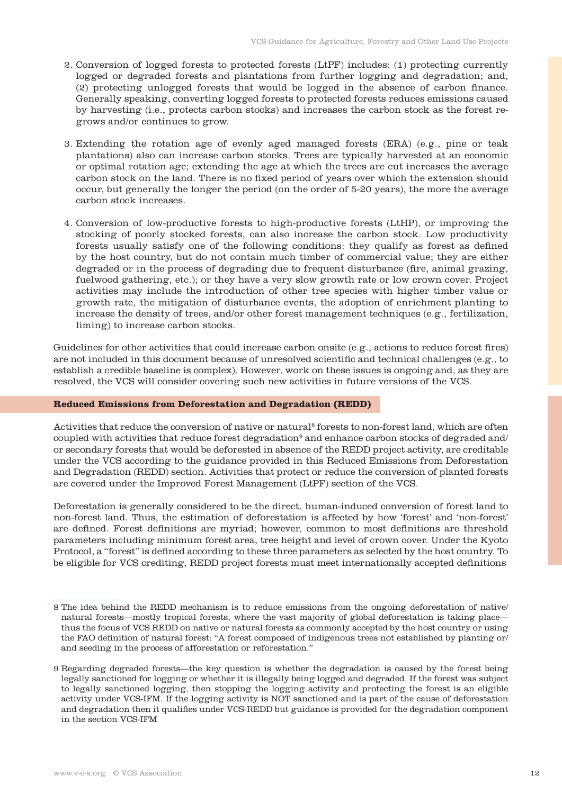- 2. Conversion of logged forests to protected forests (LtPF) includes: (1) protecting currently logged or degraded forests and plantations from further logging and degradation; and, (2) protecting unlogged forests that would be logged in the absence of carbon finance. Generally speaking, converting logged forests to protected forests reduces emissions caused by harvesting (i.e., protects carbon stocks) and increases the carbon stock as the forest regrows and/or continues to grow.
- 3. Extending the rotation age of evenly aged managed forests (ERA) (e.g., pine or teak plantations) also can increase carbon stocks. Trees are typically harvested at an economic or optimal rotation age; extending the age at which the trees are cut increases the average carbon stock on the land. There is no fixed period of years over which the extension should occur, but generally the longer the period (on the order of 5-20 years), the more the average carbon stock increases.
- 4. Conversion of low-productive forests to high-productive forests (LtHP), or improving the stocking of poorly stocked forests, can also increase the carbon stock. Low productivity forests usually satisfy one of the following conditions: they qualify as forest as defined by the host country, but do not contain much timber of commercial value; they are either degraded or in the process of degrading due to frequent disturbance (fire, animal grazing, fuelwood gathering, etc.); or they have a very slow growth rate or low crown cover. Project activities may include the introduction of other tree species with higher timber value or growth rate, the mitigation of disturbance events, the adoption of enrichment planting to increase the density of trees, and/or other forest management techniques (e.g., fertilization, liming) to increase carbon stocks.

Guidelines for other activities that could increase carbon onsite (e.g., actions to reduce forest fires) are not included in this document because of unresolved scientific and technical challenges (e.g., to establish a credible baseline is complex). However, work on these issues is ongoing and, as they are resolved, the VCS will consider covering such new activities in future versions of the VCS.

#### **Reduced Emissions from Deforestation and Degradation (REDD)**

Activities that reduce the conversion of native or natural<sup>8</sup> forests to non-forest land, which are often coupled with activities that reduce forest degradation<sup>9</sup> and enhance carbon stocks of degraded and/ or secondary forests that would be deforested in absence of the REDD project activity, are creditable under the VCS according to the guidance provided in this Reduced Emissions from Deforestation and Degradation (REDD) section. Activities that protect or reduce the conversion of planted forests are covered under the Improved Forest Management (LtPF) section of the VCS.

Deforestation is generally considered to be the direct, human-induced conversion of forest land to non-forest land. Thus, the estimation of deforestation is affected by how 'forest' and 'non-forest' are defined. Forest definitions are myriad; however, common to most definitions are threshold parameters including minimum forest area, tree height and level of crown cover. Under the Kyoto Protocol, a "forest" is defined according to these three parameters as selected by the host country. To be eligible for VCS crediting, REDD project forests must meet internationally accepted definitions

<sup>8</sup> The idea behind the REDD mechanism is to reduce emissions from the ongoing deforestation of native/ natural forests—mostly tropical forests, where the vast majority of global deforestation is taking place thus the focus of VCS REDD on native or natural forests as commonly accepted by the host country or using the FAO definition of natural forest: "A forest composed of indigenous trees not established by planting or/ and seeding in the process of afforestation or reforestation."

<sup>9</sup> Regarding degraded forests—the key question is whether the degradation is caused by the forest being legally sanctioned for logging or whether it is illegally being logged and degraded. If the forest was subject to legally sanctioned logging, then stopping the logging activity and protecting the forest is an eligible activity under VCS-IFM. If the logging activity is NOT sanctioned and is part of the cause of deforestation and degradation then it qualifies under VCS-REDD but guidance is provided for the degradation component in the section VCS-IFM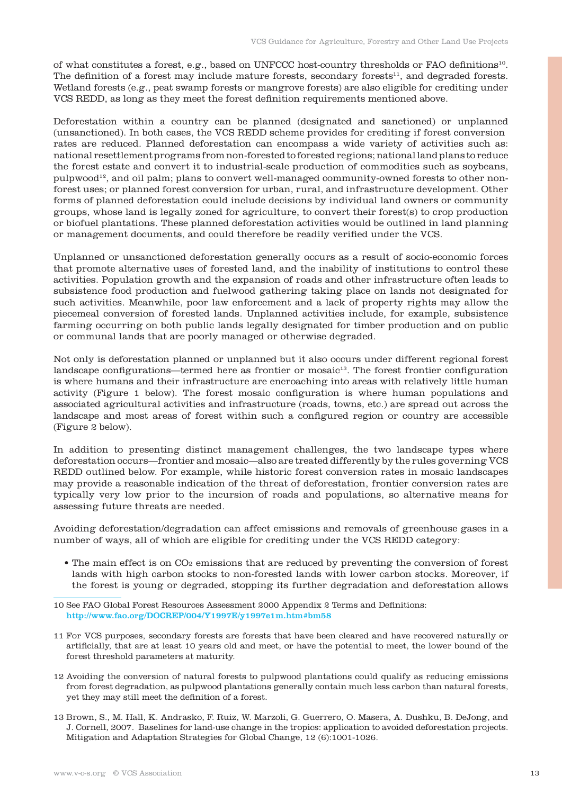of what constitutes a forest, e.g., based on UNFCCC host-country thresholds or FAO definitions10. The definition of a forest may include mature forests, secondary forests<sup>11</sup>, and degraded forests. Wetland forests (e.g., peat swamp forests or mangrove forests) are also eligible for crediting under VCS REDD, as long as they meet the forest definition requirements mentioned above.

Deforestation within a country can be planned (designated and sanctioned) or unplanned (unsanctioned). In both cases, the VCS REDD scheme provides for crediting if forest conversion rates are reduced. Planned deforestation can encompass a wide variety of activities such as: national resettlement programs from non-forested to forested regions; national land plans to reduce the forest estate and convert it to industrial-scale production of commodities such as soybeans, pulpwood12, and oil palm; plans to convert well-managed community-owned forests to other nonforest uses; or planned forest conversion for urban, rural, and infrastructure development. Other forms of planned deforestation could include decisions by individual land owners or community groups, whose land is legally zoned for agriculture, to convert their forest(s) to crop production or biofuel plantations. These planned deforestation activities would be outlined in land planning or management documents, and could therefore be readily verified under the VCS.

Unplanned or unsanctioned deforestation generally occurs as a result of socio-economic forces that promote alternative uses of forested land, and the inability of institutions to control these activities. Population growth and the expansion of roads and other infrastructure often leads to subsistence food production and fuelwood gathering taking place on lands not designated for such activities. Meanwhile, poor law enforcement and a lack of property rights may allow the piecemeal conversion of forested lands. Unplanned activities include, for example, subsistence farming occurring on both public lands legally designated for timber production and on public or communal lands that are poorly managed or otherwise degraded.

Not only is deforestation planned or unplanned but it also occurs under different regional forest landscape configurations—termed here as frontier or mosaic<sup>13</sup>. The forest frontier configuration is where humans and their infrastructure are encroaching into areas with relatively little human activity (Figure 1 below). The forest mosaic configuration is where human populations and associated agricultural activities and infrastructure (roads, towns, etc.) are spread out across the landscape and most areas of forest within such a configured region or country are accessible (Figure 2 below).

In addition to presenting distinct management challenges, the two landscape types where deforestation occurs—frontier and mosaic—also are treated differently by the rules governing VCS REDD outlined below. For example, while historic forest conversion rates in mosaic landscapes may provide a reasonable indication of the threat of deforestation, frontier conversion rates are typically very low prior to the incursion of roads and populations, so alternative means for assessing future threats are needed.

Avoiding deforestation/degradation can affect emissions and removals of greenhouse gases in a number of ways, all of which are eligible for crediting under the VCS REDD category:

• The main effect is on CO<sub>2</sub> emissions that are reduced by preventing the conversion of forest lands with high carbon stocks to non-forested lands with lower carbon stocks. Moreover, if the forest is young or degraded, stopping its further degradation and deforestation allows

- 11 For VCS purposes, secondary forests are forests that have been cleared and have recovered naturally or artificially, that are at least 10 years old and meet, or have the potential to meet, the lower bound of the forest threshold parameters at maturity.
- 12 Avoiding the conversion of natural forests to pulpwood plantations could qualify as reducing emissions from forest degradation, as pulpwood plantations generally contain much less carbon than natural forests, yet they may still meet the definition of a forest.
- 13 Brown, S., M. Hall, K. Andrasko, F. Ruiz, W. Marzoli, G. Guerrero, O. Masera, A. Dushku, B. DeJong, and J. Cornell, 2007. Baselines for land-use change in the tropics: application to avoided deforestation projects. Mitigation and Adaptation Strategies for Global Change, 12 (6):1001-1026.

<sup>10</sup> See FAO Global Forest Resources Assessment 2000 Appendix 2 Terms and Definitions: http://www.fao.org/DOCREP/004/Y1997E/y1997e1m.htm#bm58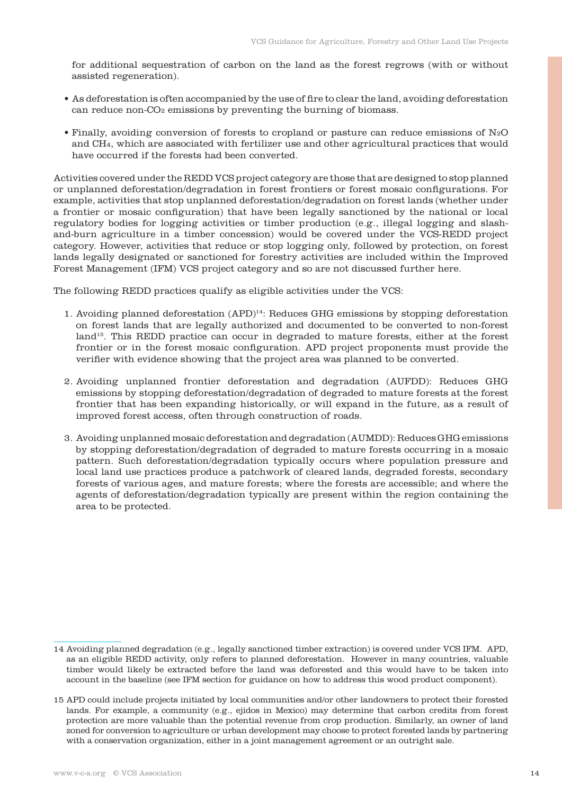for additional sequestration of carbon on the land as the forest regrows (with or without assisted regeneration).

- As deforestation is often accompanied by the use of fire to clear the land, avoiding deforestation can reduce non-CO<sub>2</sub> emissions by preventing the burning of biomass.
- Finally, avoiding conversion of forests to cropland or pasture can reduce emissions of N2O and CH4, which are associated with fertilizer use and other agricultural practices that would have occurred if the forests had been converted.

Activities covered under the REDD VCS project category are those that are designed to stop planned or unplanned deforestation/degradation in forest frontiers or forest mosaic configurations. For example, activities that stop unplanned deforestation/degradation on forest lands (whether under a frontier or mosaic configuration) that have been legally sanctioned by the national or local regulatory bodies for logging activities or timber production (e.g., illegal logging and slashand-burn agriculture in a timber concession) would be covered under the VCS-REDD project category. However, activities that reduce or stop logging only, followed by protection, on forest lands legally designated or sanctioned for forestry activities are included within the Improved Forest Management (IFM) VCS project category and so are not discussed further here.

The following REDD practices qualify as eligible activities under the VCS:

- 1. Avoiding planned deforestation (APD)14: Reduces GHG emissions by stopping deforestation on forest lands that are legally authorized and documented to be converted to non-forest land<sup>15</sup>. This REDD practice can occur in degraded to mature forests, either at the forest frontier or in the forest mosaic configuration. APD project proponents must provide the verifier with evidence showing that the project area was planned to be converted.
- 2. Avoiding unplanned frontier deforestation and degradation (AUFDD): Reduces GHG emissions by stopping deforestation/degradation of degraded to mature forests at the forest frontier that has been expanding historically, or will expand in the future, as a result of improved forest access, often through construction of roads.
- 3. Avoiding unplanned mosaic deforestation and degradation (AUMDD): Reduces GHG emissions by stopping deforestation/degradation of degraded to mature forests occurring in a mosaic pattern. Such deforestation/degradation typically occurs where population pressure and local land use practices produce a patchwork of cleared lands, degraded forests, secondary forests of various ages, and mature forests; where the forests are accessible; and where the agents of deforestation/degradation typically are present within the region containing the area to be protected.

<sup>14</sup> Avoiding planned degradation (e.g., legally sanctioned timber extraction) is covered under VCS IFM. APD, as an eligible REDD activity, only refers to planned deforestation. However in many countries, valuable timber would likely be extracted before the land was deforested and this would have to be taken into account in the baseline (see IFM section for guidance on how to address this wood product component).

<sup>15</sup> APD could include projects initiated by local communities and/or other landowners to protect their forested lands. For example, a community (e.g., ejidos in Mexico) may determine that carbon credits from forest protection are more valuable than the potential revenue from crop production. Similarly, an owner of land zoned for conversion to agriculture or urban development may choose to protect forested lands by partnering with a conservation organization, either in a joint management agreement or an outright sale.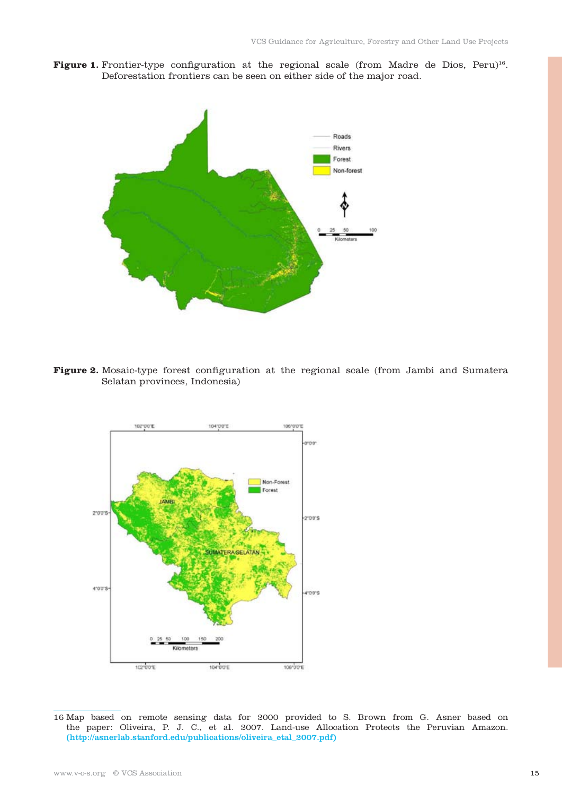Figure 1. Frontier-type configuration at the regional scale (from Madre de Dios, Peru)<sup>16</sup>. Deforestation frontiers can be seen on either side of the major road.



Figure 2. Mosaic-type forest configuration at the regional scale (from Jambi and Sumatera Selatan provinces, Indonesia)



16 Map based on remote sensing data for 2000 provided to S. Brown from G. Asner based on the paper: Oliveira, P. J. C., et al. 2007. Land-use Allocation Protects the Peruvian Amazon. (http://asnerlab.stanford.edu/publications/oliveira\_etal\_2007.pdf)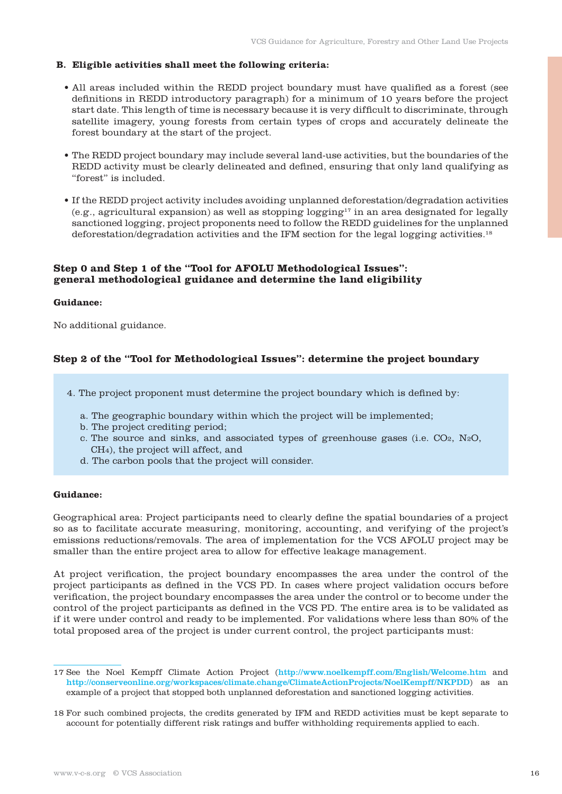# **B. Eligible activities shall meet the following criteria:**

- All areas included within the REDD project boundary must have qualified as a forest (see definitions in REDD introductory paragraph) for a minimum of 10 years before the project start date. This length of time is necessary because it is very difficult to discriminate, through satellite imagery, young forests from certain types of crops and accurately delineate the forest boundary at the start of the project.
- The REDD project boundary may include several land-use activities, but the boundaries of the REDD activity must be clearly delineated and defined, ensuring that only land qualifying as "forest" is included.
- If the REDD project activity includes avoiding unplanned deforestation/degradation activities  $(e.g., a grid and a graph is a graph of a graph.$  (e.g., agricultural expansion) as well as stopping logging<sup>17</sup> in an area designated for legally sanctioned logging, project proponents need to follow the REDD guidelines for the unplanned deforestation/degradation activities and the IFM section for the legal logging activities.18

# **Step 0 and Step 1 of the "Tool for AFOLU Methodological Issues": general methodological guidance and determine the land eligibility**

#### **Guidance:**

No additional guidance.

# **Step 2 of the "Tool for Methodological Issues": determine the project boundary**

4. The project proponent must determine the project boundary which is defined by:

- a. The geographic boundary within which the project will be implemented;
- b. The project crediting period;
- c. The source and sinks, and associated types of greenhouse gases (i.e. CO2, N2O, CH4), the project will affect, and
- d. The carbon pools that the project will consider.

#### **Guidance:**

Geographical area: Project participants need to clearly define the spatial boundaries of a project so as to facilitate accurate measuring, monitoring, accounting, and verifying of the project's emissions reductions/removals. The area of implementation for the VCS AFOLU project may be smaller than the entire project area to allow for effective leakage management.

At project verification, the project boundary encompasses the area under the control of the project participants as defined in the VCS PD. In cases where project validation occurs before verification, the project boundary encompasses the area under the control or to become under the control of the project participants as defined in the VCS PD. The entire area is to be validated as if it were under control and ready to be implemented. For validations where less than 80% of the total proposed area of the project is under current control, the project participants must:

<sup>17</sup> See the Noel Kempff Climate Action Project (http://www.noelkempff.com/English/Welcome.htm and http://conserveonline.org/workspaces/climate.change/ClimateActionProjects/NoelKempff/NKPDD) as an example of a project that stopped both unplanned deforestation and sanctioned logging activities.

<sup>18</sup> For such combined projects, the credits generated by IFM and REDD activities must be kept separate to account for potentially different risk ratings and buffer withholding requirements applied to each.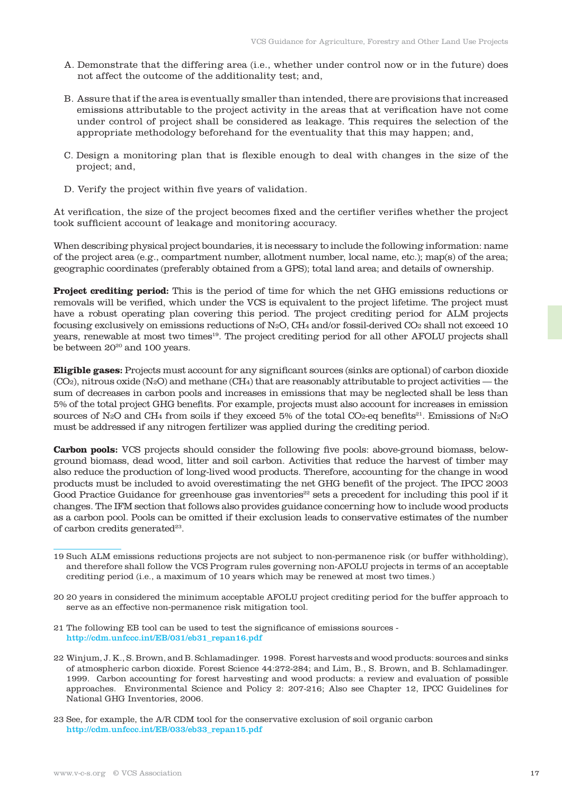- A. Demonstrate that the differing area (i.e., whether under control now or in the future) does not affect the outcome of the additionality test; and,
- B. Assure that if the area is eventually smaller than intended, there are provisions that increased emissions attributable to the project activity in the areas that at verification have not come under control of project shall be considered as leakage. This requires the selection of the appropriate methodology beforehand for the eventuality that this may happen; and,
- C. Design a monitoring plan that is flexible enough to deal with changes in the size of the project; and,
- D. Verify the project within five years of validation.

At verification, the size of the project becomes fixed and the certifier verifies whether the project took sufficient account of leakage and monitoring accuracy.

When describing physical project boundaries, it is necessary to include the following information: name of the project area (e.g., compartment number, allotment number, local name, etc.); map(s) of the area; geographic coordinates (preferably obtained from a GPS); total land area; and details of ownership.

**Project crediting period:** This is the period of time for which the net GHG emissions reductions or removals will be verified, which under the VCS is equivalent to the project lifetime. The project must have a robust operating plan covering this period. The project crediting period for ALM projects focusing exclusively on emissions reductions of N2O, CH4 and/or fossil-derived CO2 shall not exceed 10 years, renewable at most two times19. The project crediting period for all other AFOLU projects shall be between  $20^{20}$  and 100 years.

**Eligible gases:** Projects must account for any significant sources (sinks are optional) of carbon dioxide  $(CO<sub>2</sub>)$ , nitrous oxide  $(N<sub>2</sub>O)$  and methane  $(CH<sub>4</sub>)$  that are reasonably attributable to project activities — the sum of decreases in carbon pools and increases in emissions that may be neglected shall be less than 5% of the total project GHG benefits. For example, projects must also account for increases in emission sources of N<sub>2</sub>O and CH<sub>4</sub> from soils if they exceed 5% of the total CO<sub>2</sub>-eq benefits<sup>21</sup>. Emissions of N<sub>2</sub>O must be addressed if any nitrogen fertilizer was applied during the crediting period.

**Carbon pools:** VCS projects should consider the following five pools: above-ground biomass, belowground biomass, dead wood, litter and soil carbon. Activities that reduce the harvest of timber may also reduce the production of long-lived wood products. Therefore, accounting for the change in wood products must be included to avoid overestimating the net GHG benefit of the project. The IPCC 2003 Good Practice Guidance for greenhouse gas inventories<sup>22</sup> sets a precedent for including this pool if it changes. The IFM section that follows also provides guidance concerning how to include wood products as a carbon pool. Pools can be omitted if their exclusion leads to conservative estimates of the number of carbon credits generated $23$ .

- 19 Such ALM emissions reductions projects are not subject to non-permanence risk (or buffer withholding), and therefore shall follow the VCS Program rules governing non-AFOLU projects in terms of an acceptable crediting period (i.e., a maximum of 10 years which may be renewed at most two times.)
- 20 20 years in considered the minimum acceptable AFOLU project crediting period for the buffer approach to serve as an effective non-permanence risk mitigation tool.
- 21 The following EB tool can be used to test the significance of emissions sources http://cdm.unfccc.int/EB/031/eb31\_repan16.pdf
- 22 Winjum, J. K., S. Brown, and B. Schlamadinger. 1998. Forest harvests and wood products: sources and sinks of atmospheric carbon dioxide. Forest Science 44:272-284; and Lim, B., S. Brown, and B. Schlamadinger. 1999. Carbon accounting for forest harvesting and wood products: a review and evaluation of possible approaches. Environmental Science and Policy 2: 207-216; Also see Chapter 12, IPCC Guidelines for National GHG Inventories, 2006.
- 23 See, for example, the A/R CDM tool for the conservative exclusion of soil organic carbon http://cdm.unfccc.int/EB/033/eb33\_repan15.pdf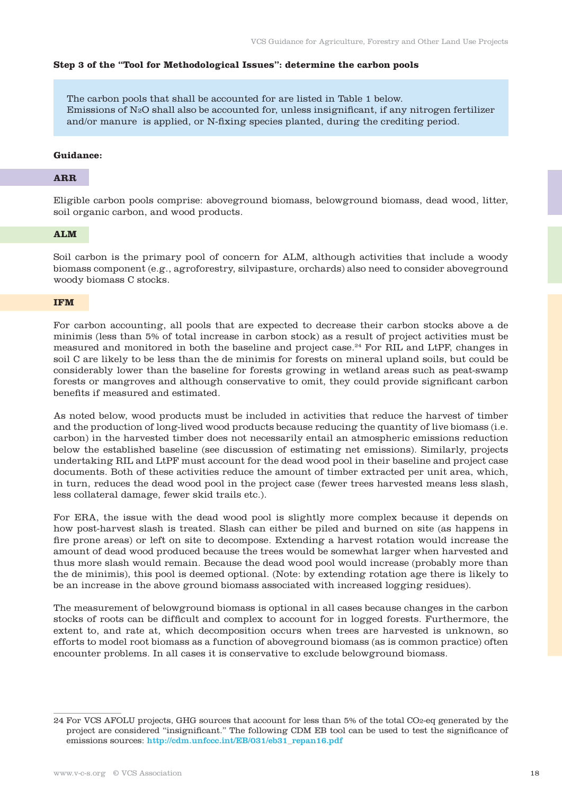#### **Step 3 of the "Tool for Methodological Issues": determine the carbon pools**

The carbon pools that shall be accounted for are listed in Table 1 below. Emissions of  $N_2O$  shall also be accounted for, unless insignificant, if any nitrogen fertilizer and/or manure is applied, or N-fixing species planted, during the crediting period.

#### **Guidance:**

#### **ARR**

Eligible carbon pools comprise: aboveground biomass, belowground biomass, dead wood, litter, soil organic carbon, and wood products.

# **ALM**

Soil carbon is the primary pool of concern for ALM, although activities that include a woody biomass component (e.g., agroforestry, silvipasture, orchards) also need to consider aboveground woody biomass C stocks.

#### **IFM**

For carbon accounting, all pools that are expected to decrease their carbon stocks above a de minimis (less than 5% of total increase in carbon stock) as a result of project activities must be measured and monitored in both the baseline and project case.24 For RIL and LtPF, changes in soil C are likely to be less than the de minimis for forests on mineral upland soils, but could be considerably lower than the baseline for forests growing in wetland areas such as peat-swamp forests or mangroves and although conservative to omit, they could provide significant carbon benefits if measured and estimated.

As noted below, wood products must be included in activities that reduce the harvest of timber and the production of long-lived wood products because reducing the quantity of live biomass (i.e. carbon) in the harvested timber does not necessarily entail an atmospheric emissions reduction below the established baseline (see discussion of estimating net emissions). Similarly, projects undertaking RIL and LtPF must account for the dead wood pool in their baseline and project case documents. Both of these activities reduce the amount of timber extracted per unit area, which, in turn, reduces the dead wood pool in the project case (fewer trees harvested means less slash, less collateral damage, fewer skid trails etc.).

For ERA, the issue with the dead wood pool is slightly more complex because it depends on how post-harvest slash is treated. Slash can either be piled and burned on site (as happens in fire prone areas) or left on site to decompose. Extending a harvest rotation would increase the amount of dead wood produced because the trees would be somewhat larger when harvested and thus more slash would remain. Because the dead wood pool would increase (probably more than the de minimis), this pool is deemed optional. (Note: by extending rotation age there is likely to be an increase in the above ground biomass associated with increased logging residues).

The measurement of belowground biomass is optional in all cases because changes in the carbon stocks of roots can be difficult and complex to account for in logged forests. Furthermore, the extent to, and rate at, which decomposition occurs when trees are harvested is unknown, so efforts to model root biomass as a function of aboveground biomass (as is common practice) often encounter problems. In all cases it is conservative to exclude belowground biomass.

<sup>24</sup> For VCS AFOLU projects, GHG sources that account for less than 5% of the total CO2-eq generated by the project are considered "insignificant." The following CDM EB tool can be used to test the significance of emissions sources: http://cdm.unfccc.int/EB/031/eb31\_repan16.pdf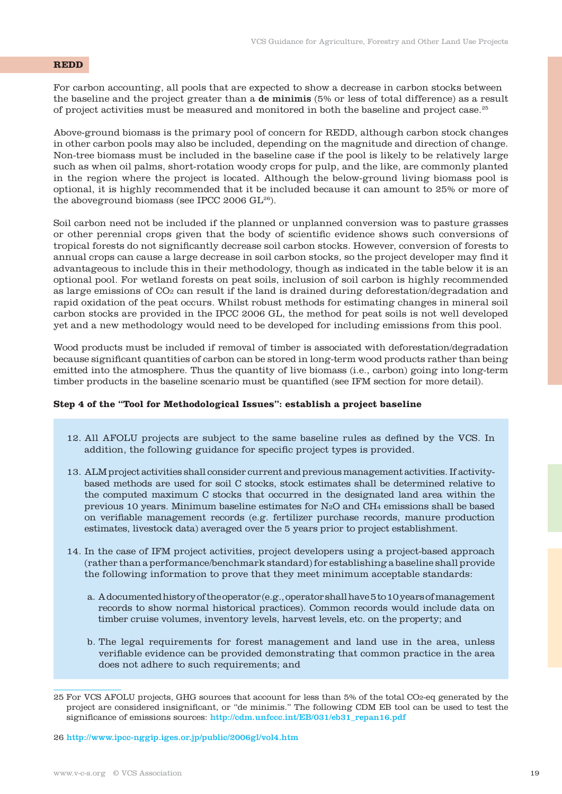# **REDD**

For carbon accounting, all pools that are expected to show a decrease in carbon stocks between the baseline and the project greater than a de minimis (5% or less of total difference) as a result of project activities must be measured and monitored in both the baseline and project case.25

Above-ground biomass is the primary pool of concern for REDD, although carbon stock changes in other carbon pools may also be included, depending on the magnitude and direction of change. Non-tree biomass must be included in the baseline case if the pool is likely to be relatively large such as when oil palms, short-rotation woody crops for pulp, and the like, are commonly planted in the region where the project is located. Although the below-ground living biomass pool is optional, it is highly recommended that it be included because it can amount to 25% or more of the aboveground biomass (see IPCC 2006 GL<sup>26</sup>).

Soil carbon need not be included if the planned or unplanned conversion was to pasture grasses or other perennial crops given that the body of scientific evidence shows such conversions of tropical forests do not significantly decrease soil carbon stocks. However, conversion of forests to annual crops can cause a large decrease in soil carbon stocks, so the project developer may find it advantageous to include this in their methodology, though as indicated in the table below it is an optional pool. For wetland forests on peat soils, inclusion of soil carbon is highly recommended as large emissions of CO2 can result if the land is drained during deforestation/degradation and rapid oxidation of the peat occurs. Whilst robust methods for estimating changes in mineral soil carbon stocks are provided in the IPCC 2006 GL, the method for peat soils is not well developed yet and a new methodology would need to be developed for including emissions from this pool.

Wood products must be included if removal of timber is associated with deforestation/degradation because significant quantities of carbon can be stored in long-term wood products rather than being emitted into the atmosphere. Thus the quantity of live biomass (i.e., carbon) going into long-term timber products in the baseline scenario must be quantified (see IFM section for more detail).

#### **Step 4 of the "Tool for Methodological Issues": establish a project baseline**

- 12. All AFOLU projects are subject to the same baseline rules as defined by the VCS. In addition, the following guidance for specific project types is provided.
- 13. ALM project activities shall consider current and previous management activities. If activitybased methods are used for soil C stocks, stock estimates shall be determined relative to the computed maximum C stocks that occurred in the designated land area within the previous 10 years. Minimum baseline estimates for N2O and CH4 emissions shall be based on verifiable management records (e.g. fertilizer purchase records, manure production estimates, livestock data) averaged over the 5 years prior to project establishment.
- 14. In the case of IFM project activities, project developers using a project-based approach (rather than a performance/benchmark standard) for establishing a baseline shall provide the following information to prove that they meet minimum acceptable standards:
	- a. A documented history of the operator (e.g., operator shall have 5 to 10 years of management records to show normal historical practices). Common records would include data on timber cruise volumes, inventory levels, harvest levels, etc. on the property; and
	- b. The legal requirements for forest management and land use in the area, unless verifiable evidence can be provided demonstrating that common practice in the area does not adhere to such requirements; and

<sup>25</sup> For VCS AFOLU projects, GHG sources that account for less than 5% of the total CO2-eq generated by the project are considered insignificant, or "de minimis." The following CDM EB tool can be used to test the significance of emissions sources: http://cdm.unfccc.int/EB/031/eb31\_repan16.pdf

<sup>26</sup> http://www.ipcc-nggip.iges.or.jp/public/2006gl/vol4.htm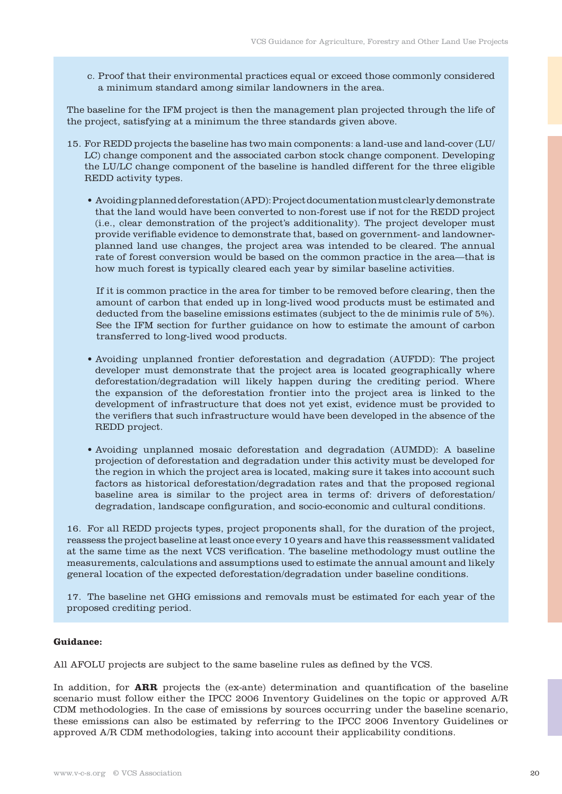c. Proof that their environmental practices equal or exceed those commonly considered a minimum standard among similar landowners in the area.

The baseline for the IFM project is then the management plan projected through the life of the project, satisfying at a minimum the three standards given above.

- 15. For REDD projects the baseline has two main components: a land-use and land-cover (LU/ LC) change component and the associated carbon stock change component. Developing the LU/LC change component of the baseline is handled different for the three eligible REDD activity types.
	- Avoiding planned deforestation (APD): Project documentation must clearly demonstrate that the land would have been converted to non-forest use if not for the REDD project (i.e., clear demonstration of the project's additionality). The project developer must provide verifiable evidence to demonstrate that, based on government- and landownerplanned land use changes, the project area was intended to be cleared. The annual rate of forest conversion would be based on the common practice in the area—that is how much forest is typically cleared each year by similar baseline activities.

 If it is common practice in the area for timber to be removed before clearing, then the amount of carbon that ended up in long-lived wood products must be estimated and deducted from the baseline emissions estimates (subject to the de minimis rule of 5%). See the IFM section for further guidance on how to estimate the amount of carbon transferred to long-lived wood products.

- Avoiding unplanned frontier deforestation and degradation (AUFDD): The project developer must demonstrate that the project area is located geographically where deforestation/degradation will likely happen during the crediting period. Where the expansion of the deforestation frontier into the project area is linked to the development of infrastructure that does not yet exist, evidence must be provided to the verifiers that such infrastructure would have been developed in the absence of the REDD project.
- Avoiding unplanned mosaic deforestation and degradation (AUMDD): A baseline projection of deforestation and degradation under this activity must be developed for the region in which the project area is located, making sure it takes into account such factors as historical deforestation/degradation rates and that the proposed regional baseline area is similar to the project area in terms of: drivers of deforestation/ degradation, landscape configuration, and socio-economic and cultural conditions.

16. For all REDD projects types, project proponents shall, for the duration of the project, reassess the project baseline at least once every 10 years and have this reassessment validated at the same time as the next VCS verification. The baseline methodology must outline the measurements, calculations and assumptions used to estimate the annual amount and likely general location of the expected deforestation/degradation under baseline conditions.

17. The baseline net GHG emissions and removals must be estimated for each year of the proposed crediting period.

# **Guidance:**

All AFOLU projects are subject to the same baseline rules as defined by the VCS.

In addition, for **ARR** projects the (ex-ante) determination and quantification of the baseline scenario must follow either the IPCC 2006 Inventory Guidelines on the topic or approved A/R CDM methodologies. In the case of emissions by sources occurring under the baseline scenario, these emissions can also be estimated by referring to the IPCC 2006 Inventory Guidelines or approved A/R CDM methodologies, taking into account their applicability conditions.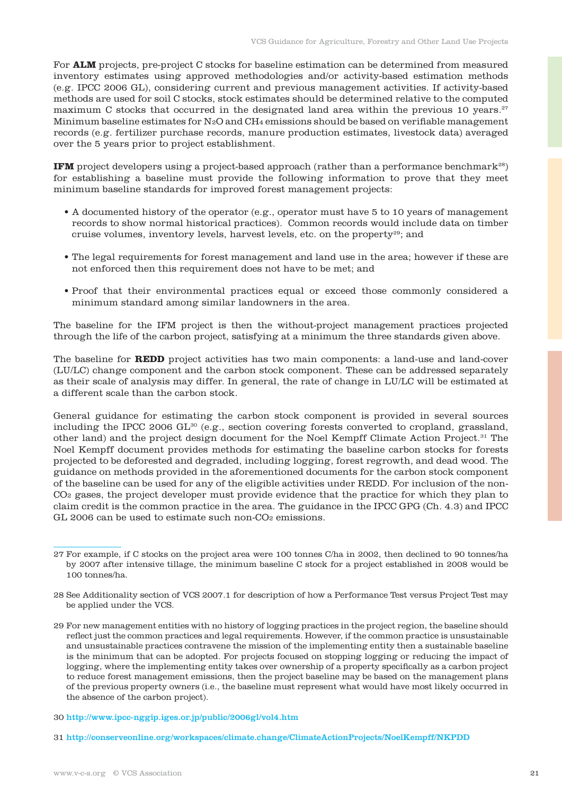For **ALM** projects, pre-project C stocks for baseline estimation can be determined from measured inventory estimates using approved methodologies and/or activity-based estimation methods (e.g. IPCC 2006 GL), considering current and previous management activities. If activity-based methods are used for soil C stocks, stock estimates should be determined relative to the computed maximum C stocks that occurred in the designated land area within the previous 10 years.<sup>27</sup> Minimum baseline estimates for  $N_2O$  and  $CH_4$  emissions should be based on verifiable management records (e.g. fertilizer purchase records, manure production estimates, livestock data) averaged over the 5 years prior to project establishment.

**IFM** project developers using a project-based approach (rather than a performance benchmark<sup>28</sup>) for establishing a baseline must provide the following information to prove that they meet minimum baseline standards for improved forest management projects:

- A documented history of the operator (e.g., operator must have 5 to 10 years of management records to show normal historical practices). Common records would include data on timber cruise volumes, inventory levels, harvest levels, etc. on the property29; and
- The legal requirements for forest management and land use in the area; however if these are not enforced then this requirement does not have to be met; and
- Proof that their environmental practices equal or exceed those commonly considered a minimum standard among similar landowners in the area.

The baseline for the IFM project is then the without-project management practices projected through the life of the carbon project, satisfying at a minimum the three standards given above.

The baseline for **REDD** project activities has two main components: a land-use and land-cover (LU/LC) change component and the carbon stock component. These can be addressed separately as their scale of analysis may differ. In general, the rate of change in LU/LC will be estimated at a different scale than the carbon stock.

General guidance for estimating the carbon stock component is provided in several sources including the IPCC 2006  $GL^{30}$  (e.g., section covering forests converted to cropland, grassland, other land) and the project design document for the Noel Kempff Climate Action Project.31 The Noel Kempff document provides methods for estimating the baseline carbon stocks for forests projected to be deforested and degraded, including logging, forest regrowth, and dead wood. The guidance on methods provided in the aforementioned documents for the carbon stock component of the baseline can be used for any of the eligible activities under REDD. For inclusion of the non-CO2 gases, the project developer must provide evidence that the practice for which they plan to claim credit is the common practice in the area. The guidance in the IPCC GPG (Ch. 4.3) and IPCC GL 2006 can be used to estimate such non-CO<sub>2</sub> emissions.

- 28 See Additionality section of VCS 2007.1 for description of how a Performance Test versus Project Test may be applied under the VCS.
- 29 For new management entities with no history of logging practices in the project region, the baseline should reflect just the common practices and legal requirements. However, if the common practice is unsustainable and unsustainable practices contravene the mission of the implementing entity then a sustainable baseline is the minimum that can be adopted. For projects focused on stopping logging or reducing the impact of logging, where the implementing entity takes over ownership of a property specifically as a carbon project to reduce forest management emissions, then the project baseline may be based on the management plans of the previous property owners (i.e., the baseline must represent what would have most likely occurred in the absence of the carbon project).
- 30 http://www.ipcc-nggip.iges.or.jp/public/2006gl/vol4.htm
- 31 http://conserveonline.org/workspaces/climate.change/ClimateActionProjects/NoelKempff/NKPDD

<sup>27</sup> For example, if C stocks on the project area were 100 tonnes C/ha in 2002, then declined to 90 tonnes/ha by 2007 after intensive tillage, the minimum baseline C stock for a project established in 2008 would be 100 tonnes/ha.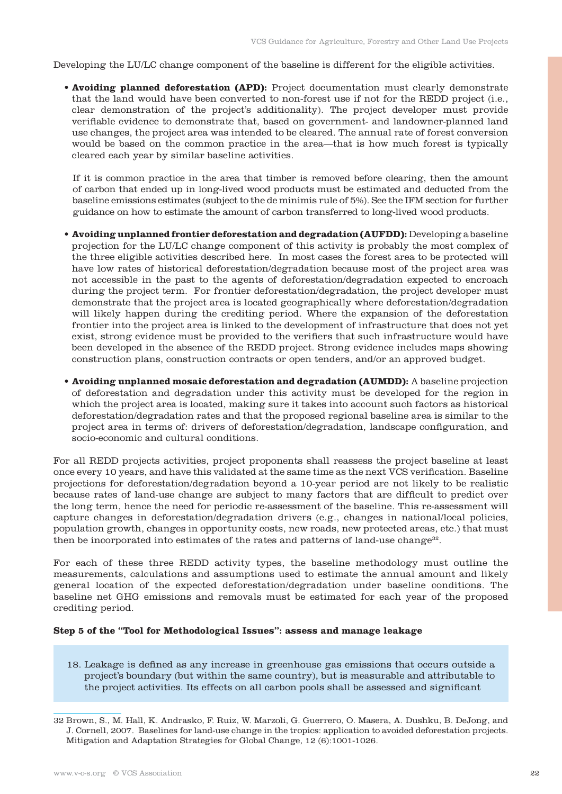Developing the LU/LC change component of the baseline is different for the eligible activities.

• **Avoiding planned deforestation (APD):** Project documentation must clearly demonstrate that the land would have been converted to non-forest use if not for the REDD project (i.e., clear demonstration of the project's additionality). The project developer must provide verifiable evidence to demonstrate that, based on government- and landowner-planned land use changes, the project area was intended to be cleared. The annual rate of forest conversion would be based on the common practice in the area—that is how much forest is typically cleared each year by similar baseline activities.

 If it is common practice in the area that timber is removed before clearing, then the amount of carbon that ended up in long-lived wood products must be estimated and deducted from the baseline emissions estimates (subject to the de minimis rule of 5%). See the IFM section for further guidance on how to estimate the amount of carbon transferred to long-lived wood products.

- **Avoiding unplanned frontier deforestation and degradation (AUFDD):** Developing a baseline projection for the LU/LC change component of this activity is probably the most complex of the three eligible activities described here. In most cases the forest area to be protected will have low rates of historical deforestation/degradation because most of the project area was not accessible in the past to the agents of deforestation/degradation expected to encroach during the project term. For frontier deforestation/degradation, the project developer must demonstrate that the project area is located geographically where deforestation/degradation will likely happen during the crediting period. Where the expansion of the deforestation frontier into the project area is linked to the development of infrastructure that does not yet exist, strong evidence must be provided to the verifiers that such infrastructure would have been developed in the absence of the REDD project. Strong evidence includes maps showing construction plans, construction contracts or open tenders, and/or an approved budget.
- **Avoiding unplanned mosaic deforestation and degradation (AUMDD):** A baseline projection of deforestation and degradation under this activity must be developed for the region in which the project area is located, making sure it takes into account such factors as historical deforestation/degradation rates and that the proposed regional baseline area is similar to the project area in terms of: drivers of deforestation/degradation, landscape configuration, and socio-economic and cultural conditions.

For all REDD projects activities, project proponents shall reassess the project baseline at least once every 10 years, and have this validated at the same time as the next VCS verification. Baseline projections for deforestation/degradation beyond a 10-year period are not likely to be realistic because rates of land-use change are subject to many factors that are difficult to predict over the long term, hence the need for periodic re-assessment of the baseline. This re-assessment will capture changes in deforestation/degradation drivers (e.g., changes in national/local policies, population growth, changes in opportunity costs, new roads, new protected areas, etc.) that must then be incorporated into estimates of the rates and patterns of land-use change<sup>32</sup>.

For each of these three REDD activity types, the baseline methodology must outline the measurements, calculations and assumptions used to estimate the annual amount and likely general location of the expected deforestation/degradation under baseline conditions. The baseline net GHG emissions and removals must be estimated for each year of the proposed crediting period.

#### **Step 5 of the "Tool for Methodological Issues": assess and manage leakage**

18. Leakage is defined as any increase in greenhouse gas emissions that occurs outside a project's boundary (but within the same country), but is measurable and attributable to the project activities. Its effects on all carbon pools shall be assessed and significant

<sup>32</sup> Brown, S., M. Hall, K. Andrasko, F. Ruiz, W. Marzoli, G. Guerrero, O. Masera, A. Dushku, B. DeJong, and J. Cornell, 2007. Baselines for land-use change in the tropics: application to avoided deforestation projects. Mitigation and Adaptation Strategies for Global Change, 12 (6):1001-1026.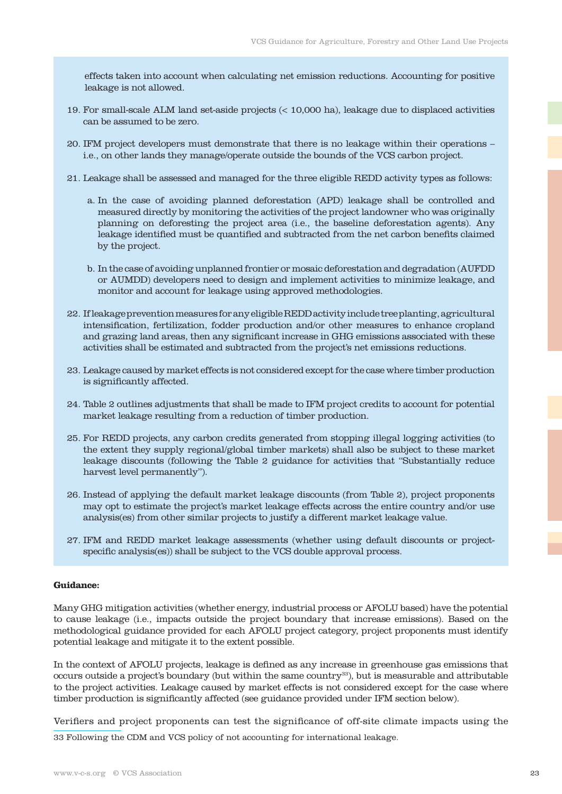effects taken into account when calculating net emission reductions. Accounting for positive leakage is not allowed.

- 19. For small-scale ALM land set-aside projects (< 10,000 ha), leakage due to displaced activities can be assumed to be zero.
- 20. IFM project developers must demonstrate that there is no leakage within their operations i.e., on other lands they manage/operate outside the bounds of the VCS carbon project.
- 21. Leakage shall be assessed and managed for the three eligible REDD activity types as follows:
	- a. In the case of avoiding planned deforestation (APD) leakage shall be controlled and measured directly by monitoring the activities of the project landowner who was originally planning on deforesting the project area (i.e., the baseline deforestation agents). Any leakage identified must be quantified and subtracted from the net carbon benefits claimed by the project.
	- b. In the case of avoiding unplanned frontier or mosaic deforestation and degradation (AUFDD or AUMDD) developers need to design and implement activities to minimize leakage, and monitor and account for leakage using approved methodologies.
- 22. If leakage prevention measures for any eligible REDD activity include tree planting, agricultural intensification, fertilization, fodder production and/or other measures to enhance cropland and grazing land areas, then any significant increase in GHG emissions associated with these activities shall be estimated and subtracted from the project's net emissions reductions.
- 23. Leakage caused by market effects is not considered except for the case where timber production is significantly affected.
- 24. Table 2 outlines adjustments that shall be made to IFM project credits to account for potential market leakage resulting from a reduction of timber production.
- 25. For REDD projects, any carbon credits generated from stopping illegal logging activities (to the extent they supply regional/global timber markets) shall also be subject to these market leakage discounts (following the Table 2 guidance for activities that "Substantially reduce harvest level permanently").
- 26. Instead of applying the default market leakage discounts (from Table 2), project proponents may opt to estimate the project's market leakage effects across the entire country and/or use analysis(es) from other similar projects to justify a different market leakage value.
- 27. IFM and REDD market leakage assessments (whether using default discounts or projectspecific analysis(es)) shall be subject to the VCS double approval process.

#### **Guidance:**

Many GHG mitigation activities (whether energy, industrial process or AFOLU based) have the potential to cause leakage (i.e., impacts outside the project boundary that increase emissions). Based on the methodological guidance provided for each AFOLU project category, project proponents must identify potential leakage and mitigate it to the extent possible.

In the context of AFOLU projects, leakage is defined as any increase in greenhouse gas emissions that occurs outside a project's boundary (but within the same country<sup>33</sup>), but is measurable and attributable to the project activities. Leakage caused by market effects is not considered except for the case where timber production is significantly affected (see guidance provided under IFM section below).

Verifiers and project proponents can test the significance of off-site climate impacts using the

33 Following the CDM and VCS policy of not accounting for international leakage.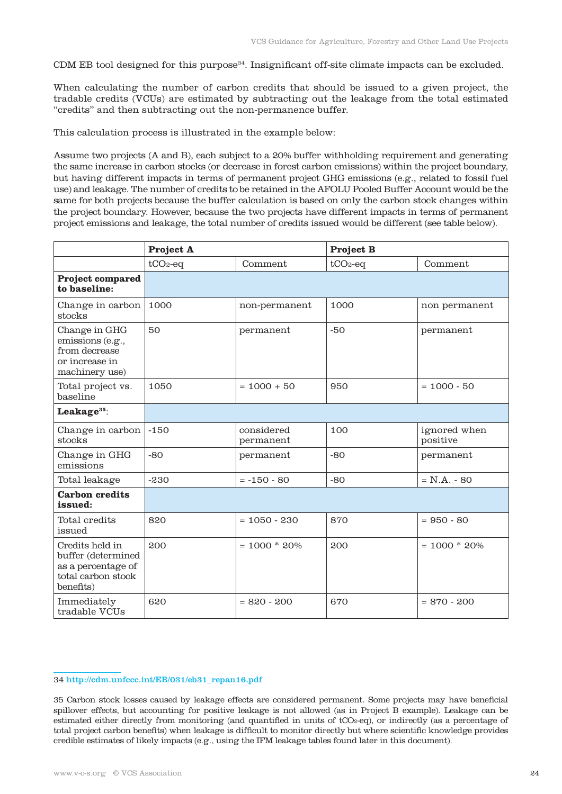CDM EB tool designed for this purpose<sup>34</sup>. Insignificant off-site climate impacts can be excluded.

When calculating the number of carbon credits that should be issued to a given project, the tradable credits (VCUs) are estimated by subtracting out the leakage from the total estimated "credits" and then subtracting out the non-permanence buffer.

This calculation process is illustrated in the example below:

Assume two projects (A and B), each subject to a 20% buffer withholding requirement and generating the same increase in carbon stocks (or decrease in forest carbon emissions) within the project boundary, but having different impacts in terms of permanent project GHG emissions (e.g., related to fossil fuel use) and leakage. The number of credits to be retained in the AFOLU Pooled Buffer Account would be the same for both projects because the buffer calculation is based on only the carbon stock changes within the project boundary. However, because the two projects have different impacts in terms of permanent project emissions and leakage, the total number of credits issued would be different (see table below).

|                                                                                                | Project A  |                         | <b>Project B</b> |                          |  |  |
|------------------------------------------------------------------------------------------------|------------|-------------------------|------------------|--------------------------|--|--|
|                                                                                                | $tCO2$ -eq | Comment                 | $tCO2$ -eq       | Comment                  |  |  |
| <b>Project compared</b><br>to baseline:                                                        |            |                         |                  |                          |  |  |
| Change in carbon<br>stocks                                                                     | 1000       | non-permanent           | 1000             | non permanent            |  |  |
| Change in GHG<br>emissions (e.g.,<br>from decrease<br>or increase in<br>machinery use)         | 50         | permanent               | $-50$            | permanent                |  |  |
| Total project vs.<br>baseline                                                                  | 1050       | $= 1000 + 50$           | 950              | $= 1000 - 50$            |  |  |
| Leakage <sup>35</sup> :                                                                        |            |                         |                  |                          |  |  |
| Change in carbon<br>stocks                                                                     | $-150$     | considered<br>permanent | 100              | ignored when<br>positive |  |  |
| Change in GHG<br>emissions                                                                     | $-80$      | permanent               | $-80$            | permanent                |  |  |
| Total leakage                                                                                  | $-230$     | $= -150 - 80$           | $-80$            | $= N.A. - 80$            |  |  |
| <b>Carbon credits</b><br>issued:                                                               |            |                         |                  |                          |  |  |
| Total credits<br>issued                                                                        | 820        | $= 1050 - 230$          | 870              | $= 950 - 80$             |  |  |
| Credits held in<br>buffer (determined<br>as a percentage of<br>total carbon stock<br>benefits) | 200        | $= 1000 * 20%$          | 200              | $= 1000 * 20%$           |  |  |
| Immediately<br>tradable VCUs                                                                   | 620        | $= 820 - 200$           | 670              | $= 870 - 200$            |  |  |

#### 34 http://cdm.unfccc.int/EB/031/eb31\_repan16.pdf

35 Carbon stock losses caused by leakage effects are considered permanent. Some projects may have beneficial spillover effects, but accounting for positive leakage is not allowed (as in Project B example). Leakage can be estimated either directly from monitoring (and quantified in units of tCO2-eq), or indirectly (as a percentage of total project carbon benefits) when leakage is difficult to monitor directly but where scientific knowledge provides credible estimates of likely impacts (e.g., using the IFM leakage tables found later in this document).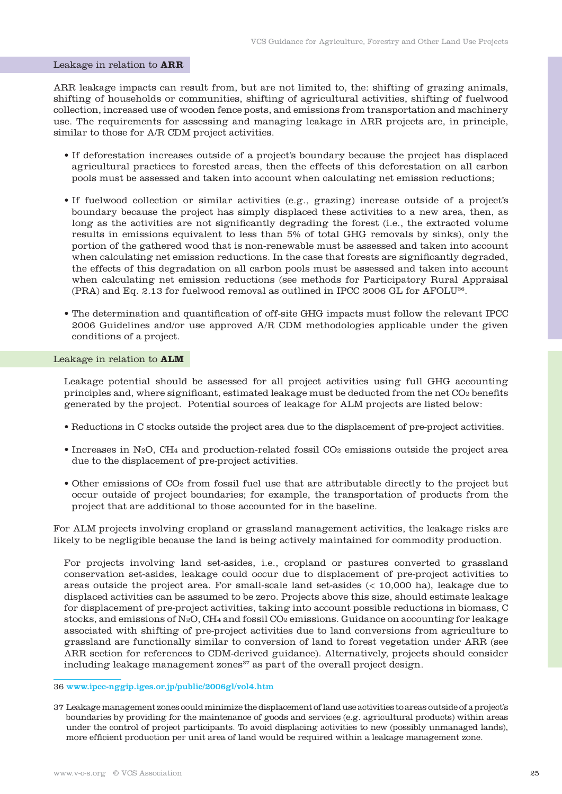#### Leakage in relation to **ARR**

ARR leakage impacts can result from, but are not limited to, the: shifting of grazing animals, shifting of households or communities, shifting of agricultural activities, shifting of fuelwood collection, increased use of wooden fence posts, and emissions from transportation and machinery use. The requirements for assessing and managing leakage in ARR projects are, in principle, similar to those for A/R CDM project activities.

- If deforestation increases outside of a project's boundary because the project has displaced agricultural practices to forested areas, then the effects of this deforestation on all carbon pools must be assessed and taken into account when calculating net emission reductions;
- If fuelwood collection or similar activities (e.g., grazing) increase outside of a project's boundary because the project has simply displaced these activities to a new area, then, as long as the activities are not significantly degrading the forest (i.e., the extracted volume results in emissions equivalent to less than 5% of total GHG removals by sinks), only the portion of the gathered wood that is non-renewable must be assessed and taken into account when calculating net emission reductions. In the case that forests are significantly degraded, the effects of this degradation on all carbon pools must be assessed and taken into account when calculating net emission reductions (see methods for Participatory Rural Appraisal (PRA) and Eq. 2.13 for fuelwood removal as outlined in IPCC 2006 GL for AFOLU36.
- The determination and quantification of off-site GHG impacts must follow the relevant IPCC 2006 Guidelines and/or use approved A/R CDM methodologies applicable under the given conditions of a project.

#### Leakage in relation to **ALM**

Leakage potential should be assessed for all project activities using full GHG accounting principles and, where significant, estimated leakage must be deducted from the net  $CO<sub>2</sub>$  benefits generated by the project. Potential sources of leakage for ALM projects are listed below:

- Reductions in C stocks outside the project area due to the displacement of pre-project activities.
- Increases in N<sub>2</sub>O, CH<sub>4</sub> and production-related fossil CO<sub>2</sub> emissions outside the project area due to the displacement of pre-project activities.
- Other emissions of CO2 from fossil fuel use that are attributable directly to the project but occur outside of project boundaries; for example, the transportation of products from the project that are additional to those accounted for in the baseline.

For ALM projects involving cropland or grassland management activities, the leakage risks are likely to be negligible because the land is being actively maintained for commodity production.

For projects involving land set-asides, i.e., cropland or pastures converted to grassland conservation set-asides, leakage could occur due to displacement of pre-project activities to areas outside the project area. For small-scale land set-asides (< 10,000 ha), leakage due to displaced activities can be assumed to be zero. Projects above this size, should estimate leakage for displacement of pre-project activities, taking into account possible reductions in biomass, C stocks, and emissions of N2O, CH4 and fossil CO2 emissions. Guidance on accounting for leakage associated with shifting of pre-project activities due to land conversions from agriculture to grassland are functionally similar to conversion of land to forest vegetation under ARR (see ARR section for references to CDM-derived guidance). Alternatively, projects should consider including leakage management zones<sup>37</sup> as part of the overall project design.

### 36 www.ipcc-nggip.iges.or.jp/public/2006gl/vol4.htm

37 Leakage management zones could minimize the displacement of land use activities to areas outside of a project's boundaries by providing for the maintenance of goods and services (e.g. agricultural products) within areas under the control of project participants. To avoid displacing activities to new (possibly unmanaged lands), more efficient production per unit area of land would be required within a leakage management zone.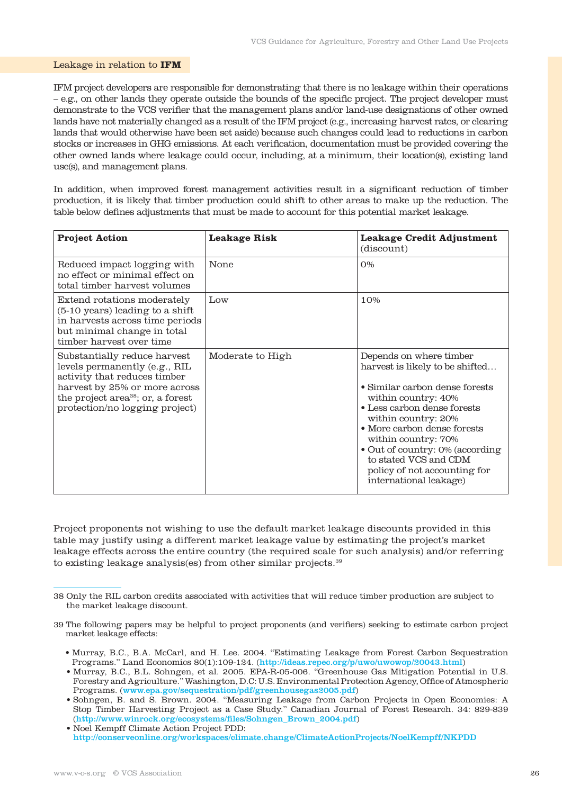#### Leakage in relation to **IFM**

IFM project developers are responsible for demonstrating that there is no leakage within their operations – e.g., on other lands they operate outside the bounds of the specific project. The project developer must demonstrate to the VCS verifier that the management plans and/or land-use designations of other owned lands have not materially changed as a result of the IFM project (e.g., increasing harvest rates, or clearing lands that would otherwise have been set aside) because such changes could lead to reductions in carbon stocks or increases in GHG emissions. At each verification, documentation must be provided covering the other owned lands where leakage could occur, including, at a minimum, their location(s), existing land use(s), and management plans.

In addition, when improved forest management activities result in a significant reduction of timber production, it is likely that timber production could shift to other areas to make up the reduction. The table below defines adjustments that must be made to account for this potential market leakage.

| <b>Project Action</b>                                                                                                                                                                                             | <b>Leakage Risk</b> | <b>Leakage Credit Adjustment</b><br>(discount)                                                                                                                                                                                                                                                                                                        |
|-------------------------------------------------------------------------------------------------------------------------------------------------------------------------------------------------------------------|---------------------|-------------------------------------------------------------------------------------------------------------------------------------------------------------------------------------------------------------------------------------------------------------------------------------------------------------------------------------------------------|
| Reduced impact logging with<br>no effect or minimal effect on<br>total timber harvest volumes                                                                                                                     | None                | O%                                                                                                                                                                                                                                                                                                                                                    |
| Extend rotations moderately<br>(5-10 years) leading to a shift<br>in harvests across time periods<br>but minimal change in total<br>timber harvest over time                                                      | Low                 | 10%                                                                                                                                                                                                                                                                                                                                                   |
| Substantially reduce harvest<br>levels permanently (e.g., RIL<br>activity that reduces timber<br>harvest by 25% or more across<br>the project area <sup>38</sup> ; or, a forest<br>protection/no logging project) | Moderate to High    | Depends on where timber<br>harvest is likely to be shifted<br>• Similar carbon dense forests<br>within country: 40%<br>• Less carbon dense forests<br>within country: 20%<br>• More carbon dense forests<br>within country: 70%<br>• Out of country: 0% (according<br>to stated VCS and CDM<br>policy of not accounting for<br>international leakage) |

Project proponents not wishing to use the default market leakage discounts provided in this table may justify using a different market leakage value by estimating the project's market leakage effects across the entire country (the required scale for such analysis) and/or referring to existing leakage analysis(es) from other similar projects.39

<sup>38</sup> Only the RIL carbon credits associated with activities that will reduce timber production are subject to the market leakage discount.

<sup>39</sup> The following papers may be helpful to project proponents (and verifiers) seeking to estimate carbon project market leakage effects:

 <sup>•</sup> Murray, B.C., B.A. McCarl, and H. Lee. 2004. "Estimating Leakage from Forest Carbon Sequestration Programs." Land Economics 80(1):109-124. (http://ideas.repec.org/p/uwo/uwowop/20043.html)

 <sup>•</sup> Murray, B.C., B.L. Sohngen, et al. 2005. EPA-R-05-006. "Greenhouse Gas Mitigation Potential in U.S. Forestry and Agriculture." Washington, D.C: U.S. Environmental Protection Agency, Office of Atmospheric Programs. (www.epa.gov/sequestration/pdf/greenhousegas2005.pdf)

 <sup>•</sup> Sohngen, B. and S. Brown. 2004. "Measuring Leakage from Carbon Projects in Open Economies: A Stop Timber Harvesting Project as a Case Study." Canadian Journal of Forest Research. 34: 829-839 (http://www.winrock.org/ecosystems/files/Sohngen\_Brown\_2004.pdf)

 <sup>•</sup> Noel Kempff Climate Action Project PDD: http://conserveonline.org/workspaces/climate.change/ClimateActionProjects/NoelKempff/NKPDD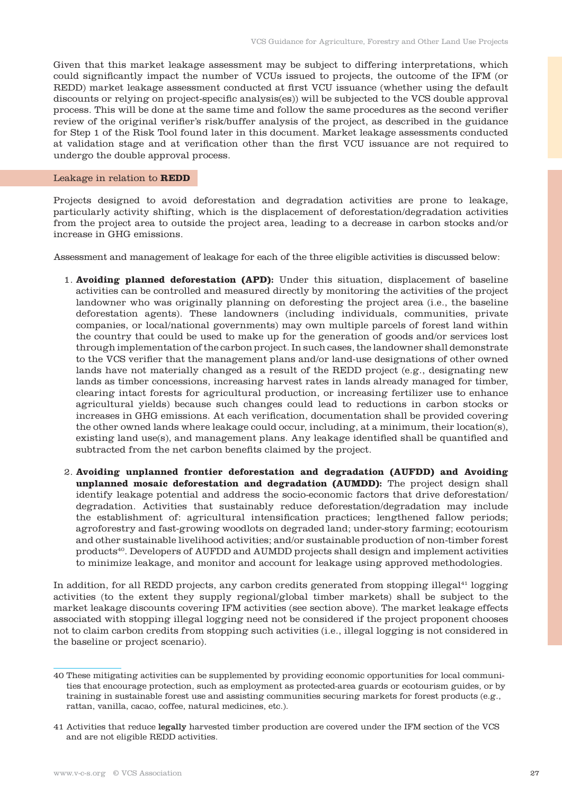Given that this market leakage assessment may be subject to differing interpretations, which could significantly impact the number of VCUs issued to projects, the outcome of the IFM (or REDD) market leakage assessment conducted at first VCU issuance (whether using the default discounts or relying on project-specific analysis(es)) will be subjected to the VCS double approval process. This will be done at the same time and follow the same procedures as the second verifier review of the original verifier's risk/buffer analysis of the project, as described in the guidance for Step 1 of the Risk Tool found later in this document. Market leakage assessments conducted at validation stage and at verification other than the first VCU issuance are not required to undergo the double approval process.

### Leakage in relation to **REDD**

Projects designed to avoid deforestation and degradation activities are prone to leakage, particularly activity shifting, which is the displacement of deforestation/degradation activities from the project area to outside the project area, leading to a decrease in carbon stocks and/or increase in GHG emissions.

Assessment and management of leakage for each of the three eligible activities is discussed below:

- 1. **Avoiding planned deforestation (APD):** Under this situation, displacement of baseline activities can be controlled and measured directly by monitoring the activities of the project landowner who was originally planning on deforesting the project area (i.e., the baseline deforestation agents). These landowners (including individuals, communities, private companies, or local/national governments) may own multiple parcels of forest land within the country that could be used to make up for the generation of goods and/or services lost through implementation of the carbon project. In such cases, the landowner shall demonstrate to the VCS verifier that the management plans and/or land-use designations of other owned lands have not materially changed as a result of the REDD project (e.g., designating new lands as timber concessions, increasing harvest rates in lands already managed for timber, clearing intact forests for agricultural production, or increasing fertilizer use to enhance agricultural yields) because such changes could lead to reductions in carbon stocks or increases in GHG emissions. At each verification, documentation shall be provided covering the other owned lands where leakage could occur, including, at a minimum, their location(s), existing land use(s), and management plans. Any leakage identified shall be quantified and subtracted from the net carbon benefits claimed by the project.
- 2. **Avoiding unplanned frontier deforestation and degradation (AUFDD) and Avoiding unplanned mosaic deforestation and degradation (AUMDD):** The project design shall identify leakage potential and address the socio-economic factors that drive deforestation/ degradation. Activities that sustainably reduce deforestation/degradation may include the establishment of: agricultural intensification practices; lengthened fallow periods; agroforestry and fast-growing woodlots on degraded land; under-story farming; ecotourism and other sustainable livelihood activities; and/or sustainable production of non-timber forest products40. Developers of AUFDD and AUMDD projects shall design and implement activities to minimize leakage, and monitor and account for leakage using approved methodologies.

In addition, for all REDD projects, any carbon credits generated from stopping illegal $41$  logging activities (to the extent they supply regional/global timber markets) shall be subject to the market leakage discounts covering IFM activities (see section above). The market leakage effects associated with stopping illegal logging need not be considered if the project proponent chooses not to claim carbon credits from stopping such activities (i.e., illegal logging is not considered in the baseline or project scenario).

<sup>40</sup> These mitigating activities can be supplemented by providing economic opportunities for local communities that encourage protection, such as employment as protected-area guards or ecotourism guides, or by training in sustainable forest use and assisting communities securing markets for forest products (e.g., rattan, vanilla, cacao, coffee, natural medicines, etc.).

<sup>41</sup> Activities that reduce legally harvested timber production are covered under the IFM section of the VCS and are not eligible REDD activities.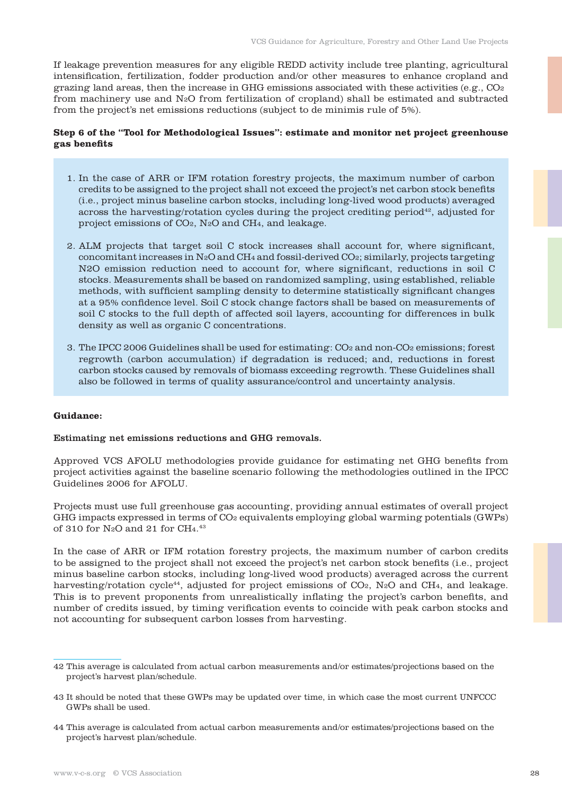If leakage prevention measures for any eligible REDD activity include tree planting, agricultural intensification, fertilization, fodder production and/or other measures to enhance cropland and grazing land areas, then the increase in GHG emissions associated with these activities (e.g.,  $CO<sub>2</sub>$ ) from machinery use and N2O from fertilization of cropland) shall be estimated and subtracted from the project's net emissions reductions (subject to de minimis rule of 5%).

# **Step 6 of the "Tool for Methodological Issues": estimate and monitor net project greenhouse gas benefits**

- 1. In the case of ARR or IFM rotation forestry projects, the maximum number of carbon credits to be assigned to the project shall not exceed the project's net carbon stock benefits (i.e., project minus baseline carbon stocks, including long-lived wood products) averaged across the harvesting/rotation cycles during the project crediting period $42$ , adjusted for project emissions of CO2, N2O and CH4, and leakage.
- 2. ALM projects that target soil C stock increases shall account for, where significant, concomitant increases in N2O and CH4 and fossil-derived CO2; similarly, projects targeting N2O emission reduction need to account for, where significant, reductions in soil C stocks. Measurements shall be based on randomized sampling, using established, reliable methods, with sufficient sampling density to determine statistically significant changes at a 95% confidence level. Soil C stock change factors shall be based on measurements of soil C stocks to the full depth of affected soil layers, accounting for differences in bulk density as well as organic C concentrations.
- 3. The IPCC 2006 Guidelines shall be used for estimating: CO2 and non-CO2 emissions; forest regrowth (carbon accumulation) if degradation is reduced; and, reductions in forest carbon stocks caused by removals of biomass exceeding regrowth. These Guidelines shall also be followed in terms of quality assurance/control and uncertainty analysis.

#### **Guidance:**

#### Estimating net emissions reductions and GHG removals.

Approved VCS AFOLU methodologies provide guidance for estimating net GHG benefits from project activities against the baseline scenario following the methodologies outlined in the IPCC Guidelines 2006 for AFOLU.

Projects must use full greenhouse gas accounting, providing annual estimates of overall project GHG impacts expressed in terms of CO2 equivalents employing global warming potentials (GWPs) of 310 for N2O and 21 for CH4. 43

In the case of ARR or IFM rotation forestry projects, the maximum number of carbon credits to be assigned to the project shall not exceed the project's net carbon stock benefits (i.e., project minus baseline carbon stocks, including long-lived wood products) averaged across the current harvesting/rotation cycle<sup>44</sup>, adjusted for project emissions of CO<sub>2</sub>, N<sub>2</sub>O and CH<sub>4</sub>, and leakage. This is to prevent proponents from unrealistically inflating the project's carbon benefits, and number of credits issued, by timing verification events to coincide with peak carbon stocks and not accounting for subsequent carbon losses from harvesting.

<sup>42</sup> This average is calculated from actual carbon measurements and/or estimates/projections based on the project's harvest plan/schedule.

<sup>43</sup> It should be noted that these GWPs may be updated over time, in which case the most current UNFCCC GWPs shall be used.

<sup>44</sup> This average is calculated from actual carbon measurements and/or estimates/projections based on the project's harvest plan/schedule.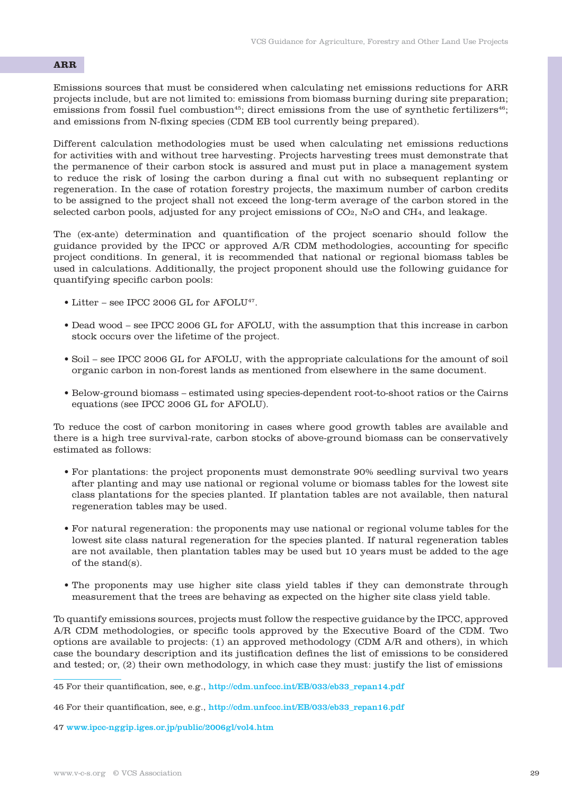# **ARR**

Emissions sources that must be considered when calculating net emissions reductions for ARR projects include, but are not limited to: emissions from biomass burning during site preparation; emissions from fossil fuel combustion<sup>45</sup>; direct emissions from the use of synthetic fertilizers<sup>46</sup>; and emissions from N-fixing species (CDM EB tool currently being prepared).

Different calculation methodologies must be used when calculating net emissions reductions for activities with and without tree harvesting. Projects harvesting trees must demonstrate that the permanence of their carbon stock is assured and must put in place a management system to reduce the risk of losing the carbon during a final cut with no subsequent replanting or regeneration. In the case of rotation forestry projects, the maximum number of carbon credits to be assigned to the project shall not exceed the long-term average of the carbon stored in the selected carbon pools, adjusted for any project emissions of CO2, N2O and CH4, and leakage.

The (ex-ante) determination and quantification of the project scenario should follow the guidance provided by the IPCC or approved A/R CDM methodologies, accounting for specific project conditions. In general, it is recommended that national or regional biomass tables be used in calculations. Additionally, the project proponent should use the following guidance for quantifying specific carbon pools:

- Litter see IPCC 2006 GL for AFOLU<sup>47</sup>.
- Dead wood see IPCC 2006 GL for AFOLU, with the assumption that this increase in carbon stock occurs over the lifetime of the project.
- Soil see IPCC 2006 GL for AFOLU, with the appropriate calculations for the amount of soil organic carbon in non-forest lands as mentioned from elsewhere in the same document.
- Below-ground biomass estimated using species-dependent root-to-shoot ratios or the Cairns equations (see IPCC 2006 GL for AFOLU).

To reduce the cost of carbon monitoring in cases where good growth tables are available and there is a high tree survival-rate, carbon stocks of above-ground biomass can be conservatively estimated as follows:

- For plantations: the project proponents must demonstrate 90% seedling survival two years after planting and may use national or regional volume or biomass tables for the lowest site class plantations for the species planted. If plantation tables are not available, then natural regeneration tables may be used.
- For natural regeneration: the proponents may use national or regional volume tables for the lowest site class natural regeneration for the species planted. If natural regeneration tables are not available, then plantation tables may be used but 10 years must be added to the age of the stand(s).
- The proponents may use higher site class yield tables if they can demonstrate through measurement that the trees are behaving as expected on the higher site class yield table.

To quantify emissions sources, projects must follow the respective guidance by the IPCC, approved A/R CDM methodologies, or specific tools approved by the Executive Board of the CDM. Two options are available to projects: (1) an approved methodology (CDM A/R and others), in which case the boundary description and its justification defines the list of emissions to be considered and tested; or, (2) their own methodology, in which case they must: justify the list of emissions

<sup>45</sup> For their quantification, see, e.g., http://cdm.unfccc.int/EB/033/eb33\_repan14.pdf

<sup>46</sup> For their quantification, see, e.g., http://cdm.unfccc.int/EB/033/eb33\_repan16.pdf

<sup>47</sup> www.ipcc-nggip.iges.or.jp/public/2006gl/vol4.htm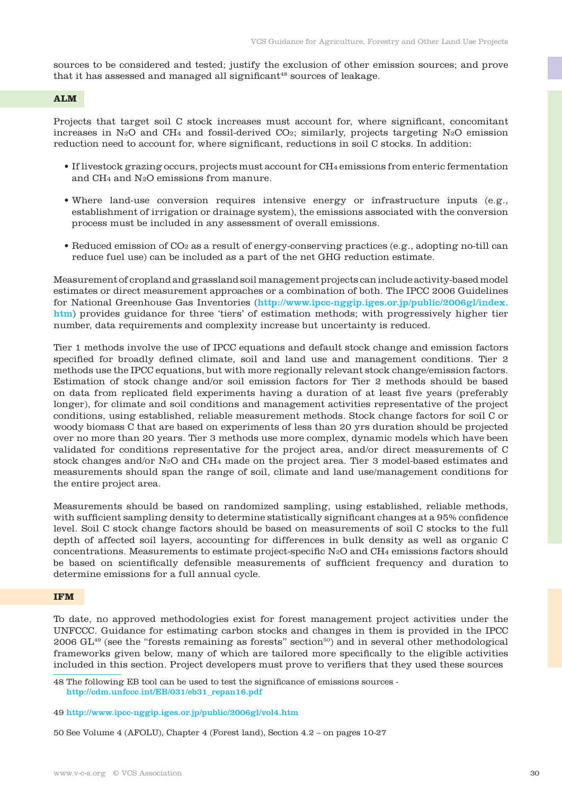sources to be considered and tested; justify the exclusion of other emission sources; and prove that it has assessed and managed all significant<sup>48</sup> sources of leakage.

# **ALM**

Projects that target soil C stock increases must account for, where significant, concomitant increases in N2O and CH4 and fossil-derived CO2; similarly, projects targeting N2O emission reduction need to account for, where significant, reductions in soil C stocks. In addition:

- If livestock grazing occurs, projects must account for CH4 emissions from enteric fermentation and CH4 and N2O emissions from manure.
- Where land-use conversion requires intensive energy or infrastructure inputs (e.g., establishment of irrigation or drainage system), the emissions associated with the conversion process must be included in any assessment of overall emissions.
- Reduced emission of CO2 as a result of energy-conserving practices (e.g., adopting no-till can reduce fuel use) can be included as a part of the net GHG reduction estimate.

Measurement of cropland and grassland soil management projects can include activity-based model estimates or direct measurement approaches or a combination of both. The IPCC 2006 Guidelines for National Greenhouse Gas Inventories (http://www.ipcc-nggip.iges.or.jp/public/2006gl/index. htm) provides guidance for three 'tiers' of estimation methods; with progressively higher tier number, data requirements and complexity increase but uncertainty is reduced.

Tier 1 methods involve the use of IPCC equations and default stock change and emission factors specified for broadly defined climate, soil and land use and management conditions. Tier 2 methods use the IPCC equations, but with more regionally relevant stock change/emission factors. Estimation of stock change and/or soil emission factors for Tier 2 methods should be based on data from replicated field experiments having a duration of at least five years (preferably longer), for climate and soil conditions and management activities representative of the project conditions, using established, reliable measurement methods. Stock change factors for soil C or woody biomass C that are based on experiments of less than 20 yrs duration should be projected over no more than 20 years. Tier 3 methods use more complex, dynamic models which have been validated for conditions representative for the project area, and/or direct measurements of C stock changes and/or N2O and CH4 made on the project area. Tier 3 model-based estimates and measurements should span the range of soil, climate and land use/management conditions for the entire project area.

Measurements should be based on randomized sampling, using established, reliable methods, with sufficient sampling density to determine statistically significant changes at a 95% confidence level. Soil C stock change factors should be based on measurements of soil C stocks to the full depth of affected soil layers, accounting for differences in bulk density as well as organic C concentrations. Measurements to estimate project-specific N2O and CH4 emissions factors should be based on scientifically defensible measurements of sufficient frequency and duration to determine emissions for a full annual cycle.

#### **IFM**

To date, no approved methodologies exist for forest management project activities under the UNFCCC. Guidance for estimating carbon stocks and changes in them is provided in the IPCC 2006  $GL^{49}$  (see the "forests remaining as forests" section<sup>50</sup>) and in several other methodological frameworks given below, many of which are tailored more specifically to the eligible activities included in this section. Project developers must prove to verifiers that they used these sources

48 The following EB tool can be used to test the significance of emissions sources http://cdm.unfccc.int/EB/031/eb31\_repan16.pdf

50 See Volume 4 (AFOLU), Chapter 4 (Forest land), Section 4.2 – on pages 10-27

<sup>49</sup> http://www.ipcc-nggip.iges.or.jp/public/2006gl/vol4.htm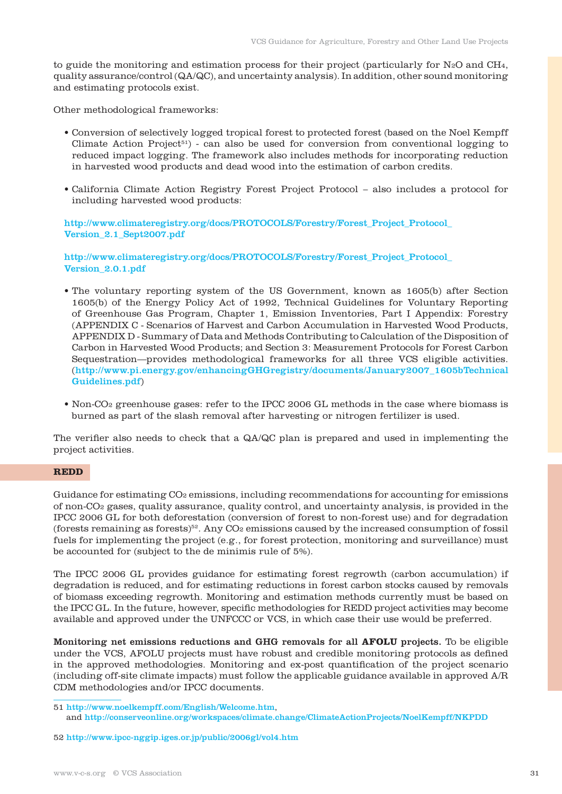to guide the monitoring and estimation process for their project (particularly for N2O and CH4, quality assurance/control (QA/QC), and uncertainty analysis). In addition, other sound monitoring and estimating protocols exist.

Other methodological frameworks:

- Conversion of selectively logged tropical forest to protected forest (based on the Noel Kempff Climate Action Project<sup>51</sup>) - can also be used for conversion from conventional logging to reduced impact logging. The framework also includes methods for incorporating reduction in harvested wood products and dead wood into the estimation of carbon credits.
- California Climate Action Registry Forest Project Protocol also includes a protocol for including harvested wood products:

http://www.climateregistry.org/docs/PROTOCOLS/Forestry/Forest\_Project\_Protocol\_ Version\_2.1\_Sept2007.pdf

http://www.climateregistry.org/docs/PROTOCOLS/Forestry/Forest\_Project\_Protocol\_ Version\_2.0.1.pdf

- The voluntary reporting system of the US Government, known as 1605(b) after Section 1605(b) of the Energy Policy Act of 1992, Technical Guidelines for Voluntary Reporting of Greenhouse Gas Program, Chapter 1, Emission Inventories, Part I Appendix: Forestry (APPENDIX C - Scenarios of Harvest and Carbon Accumulation in Harvested Wood Products, APPENDIX D - Summary of Data and Methods Contributing to Calculation of the Disposition of Carbon in Harvested Wood Products; and Section 3: Measurement Protocols for Forest Carbon Sequestration—provides methodological frameworks for all three VCS eligible activities. (http://www.pi.energy.gov/enhancingGHGregistry/documents/January2007\_1605bTechnical Guidelines.pdf)
- Non-CO2 greenhouse gases: refer to the IPCC 2006 GL methods in the case where biomass is burned as part of the slash removal after harvesting or nitrogen fertilizer is used.

The verifier also needs to check that a QA/QC plan is prepared and used in implementing the project activities.

# **REDD**

Guidance for estimating  $CO<sub>2</sub>$  emissions, including recommendations for accounting for emissions of non-CO2 gases, quality assurance, quality control, and uncertainty analysis, is provided in the IPCC 2006 GL for both deforestation (conversion of forest to non-forest use) and for degradation (forests remaining as forests)<sup>52</sup>. Any  $CO<sub>2</sub>$  emissions caused by the increased consumption of fossil fuels for implementing the project (e.g., for forest protection, monitoring and surveillance) must be accounted for (subject to the de minimis rule of 5%).

The IPCC 2006 GL provides guidance for estimating forest regrowth (carbon accumulation) if degradation is reduced, and for estimating reductions in forest carbon stocks caused by removals of biomass exceeding regrowth. Monitoring and estimation methods currently must be based on the IPCC GL. In the future, however, specific methodologies for REDD project activities may become available and approved under the UNFCCC or VCS, in which case their use would be preferred.

Monitoring net emissions reductions and GHG removals for all **AFOLU** projects. To be eligible under the VCS, AFOLU projects must have robust and credible monitoring protocols as defined in the approved methodologies. Monitoring and ex-post quantification of the project scenario (including off-site climate impacts) must follow the applicable guidance available in approved A/R CDM methodologies and/or IPCC documents.

<sup>51</sup> http://www.noelkempff.com/English/Welcome.htm, and http://conserveonline.org/workspaces/climate.change/ClimateActionProjects/NoelKempff/NKPDD

<sup>52</sup> http://www.ipcc-nggip.iges.or.jp/public/2006gl/vol4.htm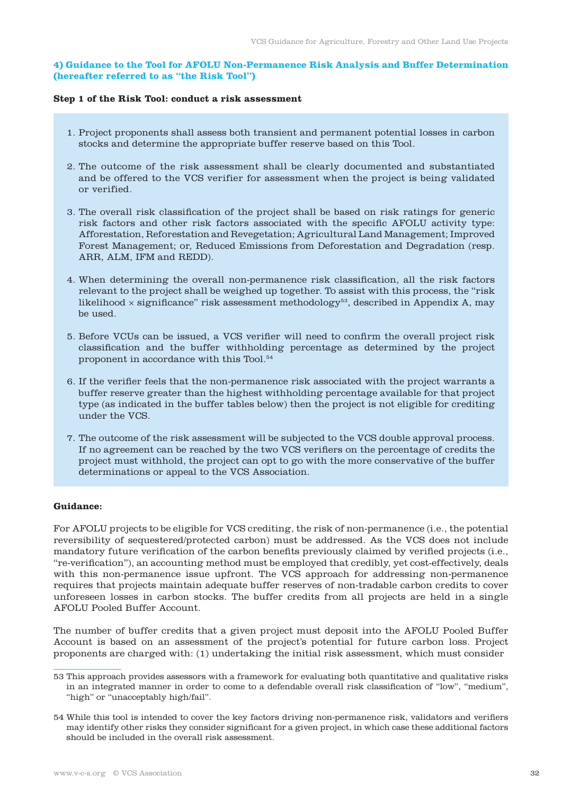# **4) Guidance to the Tool for AFOLU Non-Permanence Risk Analysis and Buffer Determination (hereafter referred to as "the Risk Tool")**

# **Step 1 of the Risk Tool: conduct a risk assessment**

- 1. Project proponents shall assess both transient and permanent potential losses in carbon stocks and determine the appropriate buffer reserve based on this Tool.
- 2. The outcome of the risk assessment shall be clearly documented and substantiated and be offered to the VCS verifier for assessment when the project is being validated or verified.
- 3. The overall risk classification of the project shall be based on risk ratings for generic risk factors and other risk factors associated with the specific AFOLU activity type: Afforestation, Reforestation and Revegetation; Agricultural Land Management; Improved Forest Management; or, Reduced Emissions from Deforestation and Degradation (resp. ARR, ALM, IFM and REDD).
- 4. When determining the overall non-permanence risk classification, all the risk factors relevant to the project shall be weighed up together. To assist with this process, the "risk likelihood  $\times$  significance" risk assessment methodology<sup>53</sup>, described in Appendix A, may be used.
- 5. Before VCUs can be issued, a VCS verifier will need to confirm the overall project risk classification and the buffer withholding percentage as determined by the project proponent in accordance with this Tool.54
- 6. If the verifier feels that the non-permanence risk associated with the project warrants a buffer reserve greater than the highest withholding percentage available for that project type (as indicated in the buffer tables below) then the project is not eligible for crediting under the VCS.
- 7. The outcome of the risk assessment will be subjected to the VCS double approval process. If no agreement can be reached by the two VCS verifiers on the percentage of credits the project must withhold, the project can opt to go with the more conservative of the buffer determinations or appeal to the VCS Association.

# **Guidance:**

For AFOLU projects to be eligible for VCS crediting, the risk of non-permanence (i.e., the potential reversibility of sequestered/protected carbon) must be addressed. As the VCS does not include mandatory future verification of the carbon benefits previously claimed by verified projects (i.e., "re-verification"), an accounting method must be employed that credibly, yet cost-effectively, deals with this non-permanence issue upfront. The VCS approach for addressing non-permanence requires that projects maintain adequate buffer reserves of non-tradable carbon credits to cover unforeseen losses in carbon stocks. The buffer credits from all projects are held in a single AFOLU Pooled Buffer Account.

The number of buffer credits that a given project must deposit into the AFOLU Pooled Buffer Account is based on an assessment of the project's potential for future carbon loss. Project proponents are charged with: (1) undertaking the initial risk assessment, which must consider

<sup>53</sup> This approach provides assessors with a framework for evaluating both quantitative and qualitative risks in an integrated manner in order to come to a defendable overall risk classification of "low", "medium", "high" or "unacceptably high/fail".

<sup>54</sup> While this tool is intended to cover the key factors driving non-permanence risk, validators and verifiers may identify other risks they consider significant for a given project, in which case these additional factors should be included in the overall risk assessment.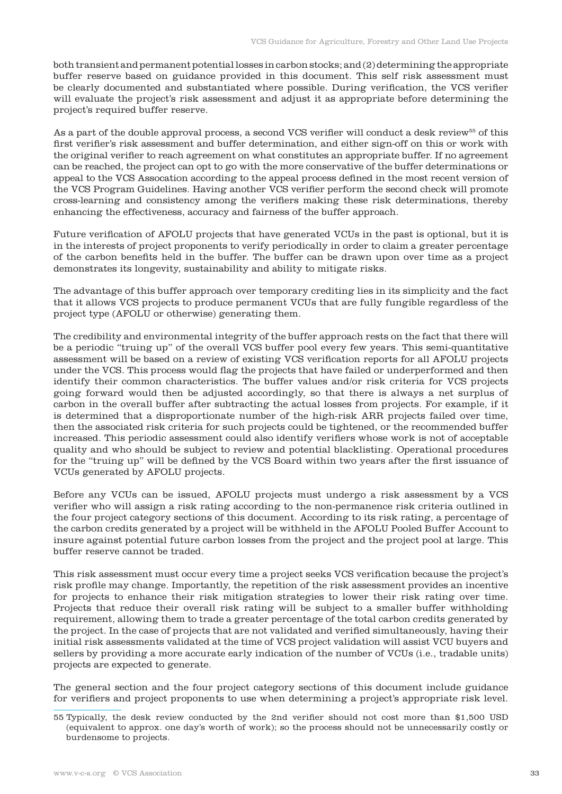both transient and permanent potential losses in carbon stocks; and (2) determining the appropriate buffer reserve based on guidance provided in this document. This self risk assessment must be clearly documented and substantiated where possible. During verification, the VCS verifier will evaluate the project's risk assessment and adjust it as appropriate before determining the project's required buffer reserve.

As a part of the double approval process, a second VCS verifier will conduct a desk review<sup>55</sup> of this first verifier's risk assessment and buffer determination, and either sign-off on this or work with the original verifier to reach agreement on what constitutes an appropriate buffer. If no agreement can be reached, the project can opt to go with the more conservative of the buffer determinations or appeal to the VCS Assocation according to the appeal process defined in the most recent version of the VCS Program Guidelines. Having another VCS verifier perform the second check will promote cross-learning and consistency among the verifiers making these risk determinations, thereby enhancing the effectiveness, accuracy and fairness of the buffer approach.

Future verification of AFOLU projects that have generated VCUs in the past is optional, but it is in the interests of project proponents to verify periodically in order to claim a greater percentage of the carbon benefits held in the buffer. The buffer can be drawn upon over time as a project demonstrates its longevity, sustainability and ability to mitigate risks.

The advantage of this buffer approach over temporary crediting lies in its simplicity and the fact that it allows VCS projects to produce permanent VCUs that are fully fungible regardless of the project type (AFOLU or otherwise) generating them.

The credibility and environmental integrity of the buffer approach rests on the fact that there will be a periodic "truing up" of the overall VCS buffer pool every few years. This semi-quantitative assessment will be based on a review of existing VCS verification reports for all AFOLU projects under the VCS. This process would flag the projects that have failed or underperformed and then identify their common characteristics. The buffer values and/or risk criteria for VCS projects going forward would then be adjusted accordingly, so that there is always a net surplus of carbon in the overall buffer after subtracting the actual losses from projects. For example, if it is determined that a disproportionate number of the high-risk ARR projects failed over time, then the associated risk criteria for such projects could be tightened, or the recommended buffer increased. This periodic assessment could also identify verifiers whose work is not of acceptable quality and who should be subject to review and potential blacklisting. Operational procedures for the "truing up" will be defined by the VCS Board within two years after the first issuance of VCUs generated by AFOLU projects.

Before any VCUs can be issued, AFOLU projects must undergo a risk assessment by a VCS verifier who will assign a risk rating according to the non-permanence risk criteria outlined in the four project category sections of this document. According to its risk rating, a percentage of the carbon credits generated by a project will be withheld in the AFOLU Pooled Buffer Account to insure against potential future carbon losses from the project and the project pool at large. This buffer reserve cannot be traded.

This risk assessment must occur every time a project seeks VCS verification because the project's risk profile may change. Importantly, the repetition of the risk assessment provides an incentive for projects to enhance their risk mitigation strategies to lower their risk rating over time. Projects that reduce their overall risk rating will be subject to a smaller buffer withholding requirement, allowing them to trade a greater percentage of the total carbon credits generated by the project. In the case of projects that are not validated and verified simultaneously, having their initial risk assessments validated at the time of VCS project validation will assist VCU buyers and sellers by providing a more accurate early indication of the number of VCUs (i.e., tradable units) projects are expected to generate.

The general section and the four project category sections of this document include guidance for verifiers and project proponents to use when determining a project's appropriate risk level.

<sup>55</sup> Typically, the desk review conducted by the 2nd verifier should not cost more than \$1,500 USD (equivalent to approx. one day's worth of work); so the process should not be unnecessarily costly or burdensome to projects.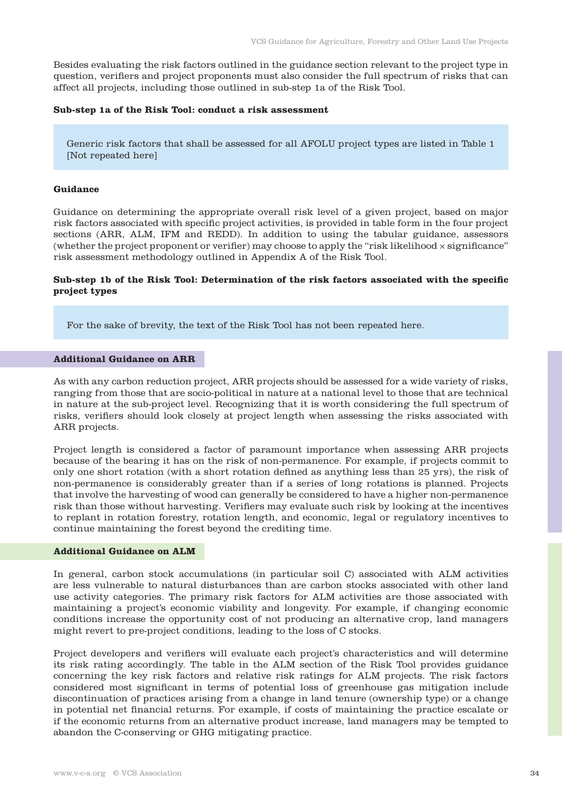Besides evaluating the risk factors outlined in the guidance section relevant to the project type in question, verifiers and project proponents must also consider the full spectrum of risks that can affect all projects, including those outlined in sub-step 1a of the Risk Tool.

#### **Sub-step 1a of the Risk Tool: conduct a risk assessment**

Generic risk factors that shall be assessed for all AFOLU project types are listed in Table 1 [Not repeated here]

#### **Guidance**

Guidance on determining the appropriate overall risk level of a given project, based on major risk factors associated with specific project activities, is provided in table form in the four project sections (ARR, ALM, IFM and REDD). In addition to using the tabular guidance, assessors (whether the project proponent or verifier) may choose to apply the "risk likelihood  $\times$  significance" risk assessment methodology outlined in Appendix A of the Risk Tool.

# **Sub-step 1b of the Risk Tool: Determination of the risk factors associated with the specific project types**

For the sake of brevity, the text of the Risk Tool has not been repeated here.

#### **Additional Guidance on ARR**

As with any carbon reduction project, ARR projects should be assessed for a wide variety of risks, ranging from those that are socio-political in nature at a national level to those that are technical in nature at the sub-project level. Recognizing that it is worth considering the full spectrum of risks, verifiers should look closely at project length when assessing the risks associated with ARR projects.

Project length is considered a factor of paramount importance when assessing ARR projects because of the bearing it has on the risk of non-permanence. For example, if projects commit to only one short rotation (with a short rotation defined as anything less than 25 yrs), the risk of non-permanence is considerably greater than if a series of long rotations is planned. Projects that involve the harvesting of wood can generally be considered to have a higher non-permanence risk than those without harvesting. Verifiers may evaluate such risk by looking at the incentives to replant in rotation forestry, rotation length, and economic, legal or regulatory incentives to continue maintaining the forest beyond the crediting time.

# **Additional Guidance on ALM**

In general, carbon stock accumulations (in particular soil C) associated with ALM activities are less vulnerable to natural disturbances than are carbon stocks associated with other land use activity categories. The primary risk factors for ALM activities are those associated with maintaining a project's economic viability and longevity. For example, if changing economic conditions increase the opportunity cost of not producing an alternative crop, land managers might revert to pre-project conditions, leading to the loss of C stocks.

Project developers and verifiers will evaluate each project's characteristics and will determine its risk rating accordingly. The table in the ALM section of the Risk Tool provides guidance concerning the key risk factors and relative risk ratings for ALM projects. The risk factors considered most significant in terms of potential loss of greenhouse gas mitigation include discontinuation of practices arising from a change in land tenure (ownership type) or a change in potential net financial returns. For example, if costs of maintaining the practice escalate or if the economic returns from an alternative product increase, land managers may be tempted to abandon the C-conserving or GHG mitigating practice.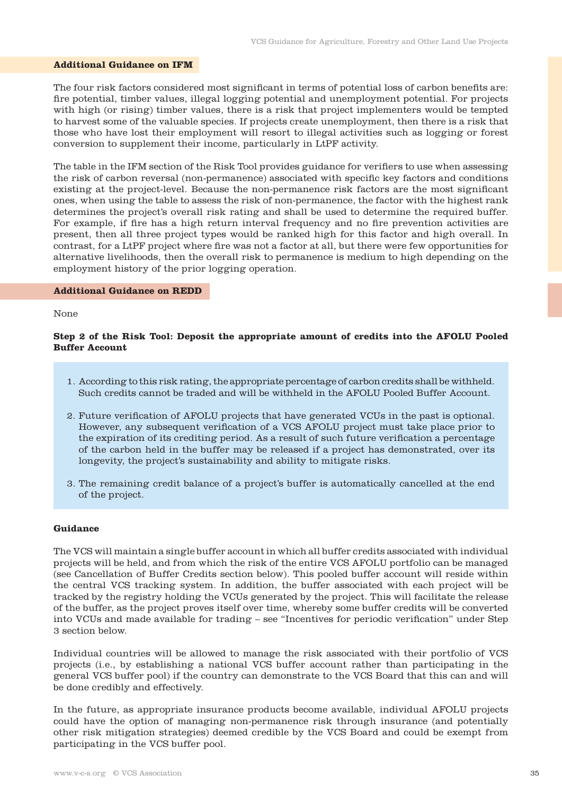#### **Additional Guidance on IFM**

The four risk factors considered most significant in terms of potential loss of carbon benefits are: fire potential, timber values, illegal logging potential and unemployment potential. For projects with high (or rising) timber values, there is a risk that project implementers would be tempted to harvest some of the valuable species. If projects create unemployment, then there is a risk that those who have lost their employment will resort to illegal activities such as logging or forest conversion to supplement their income, particularly in LtPF activity.

The table in the IFM section of the Risk Tool provides guidance for verifiers to use when assessing the risk of carbon reversal (non-permanence) associated with specific key factors and conditions existing at the project-level. Because the non-permanence risk factors are the most significant ones, when using the table to assess the risk of non-permanence, the factor with the highest rank determines the project's overall risk rating and shall be used to determine the required buffer. For example, if fire has a high return interval frequency and no fire prevention activities are present, then all three project types would be ranked high for this factor and high overall. In contrast, for a LtPF project where fire was not a factor at all, but there were few opportunities for alternative livelihoods, then the overall risk to permanence is medium to high depending on the employment history of the prior logging operation.

#### **Additional Guidance on REDD**

#### None

# **Step 2 of the Risk Tool: Deposit the appropriate amount of credits into the AFOLU Pooled Buffer Account**

- 1. According to this risk rating, the appropriate percentage of carbon credits shall be withheld. Such credits cannot be traded and will be withheld in the AFOLU Pooled Buffer Account.
- 2. Future verification of AFOLU projects that have generated VCUs in the past is optional. However, any subsequent verification of a VCS AFOLU project must take place prior to the expiration of its crediting period. As a result of such future verification a percentage of the carbon held in the buffer may be released if a project has demonstrated, over its longevity, the project's sustainability and ability to mitigate risks.
- 3. The remaining credit balance of a project's buffer is automatically cancelled at the end of the project.

#### **Guidance**

The VCS will maintain a single buffer account in which all buffer credits associated with individual projects will be held, and from which the risk of the entire VCS AFOLU portfolio can be managed (see Cancellation of Buffer Credits section below). This pooled buffer account will reside within the central VCS tracking system. In addition, the buffer associated with each project will be tracked by the registry holding the VCUs generated by the project. This will facilitate the release of the buffer, as the project proves itself over time, whereby some buffer credits will be converted into VCUs and made available for trading – see "Incentives for periodic verification" under Step 3 section below.

Individual countries will be allowed to manage the risk associated with their portfolio of VCS projects (i.e., by establishing a national VCS buffer account rather than participating in the general VCS buffer pool) if the country can demonstrate to the VCS Board that this can and will be done credibly and effectively.

In the future, as appropriate insurance products become available, individual AFOLU projects could have the option of managing non-permanence risk through insurance (and potentially other risk mitigation strategies) deemed credible by the VCS Board and could be exempt from participating in the VCS buffer pool.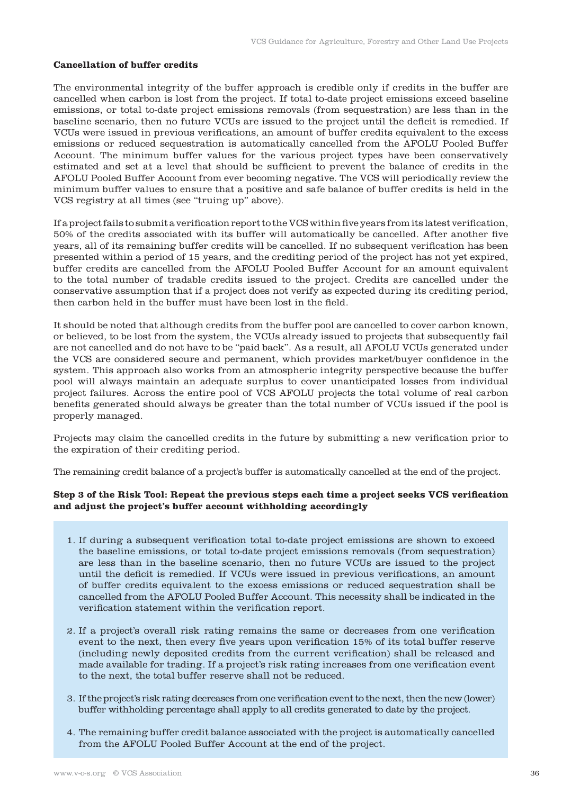# **Cancellation of buffer credits**

The environmental integrity of the buffer approach is credible only if credits in the buffer are cancelled when carbon is lost from the project. If total to-date project emissions exceed baseline emissions, or total to-date project emissions removals (from sequestration) are less than in the baseline scenario, then no future VCUs are issued to the project until the deficit is remedied. If VCUs were issued in previous verifications, an amount of buffer credits equivalent to the excess emissions or reduced sequestration is automatically cancelled from the AFOLU Pooled Buffer Account. The minimum buffer values for the various project types have been conservatively estimated and set at a level that should be sufficient to prevent the balance of credits in the AFOLU Pooled Buffer Account from ever becoming negative. The VCS will periodically review the minimum buffer values to ensure that a positive and safe balance of buffer credits is held in the VCS registry at all times (see "truing up" above).

If a project fails to submit a verification report to the VCS within five years from its latest verification, 50% of the credits associated with its buffer will automatically be cancelled. After another five years, all of its remaining buffer credits will be cancelled. If no subsequent verification has been presented within a period of 15 years, and the crediting period of the project has not yet expired, buffer credits are cancelled from the AFOLU Pooled Buffer Account for an amount equivalent to the total number of tradable credits issued to the project. Credits are cancelled under the conservative assumption that if a project does not verify as expected during its crediting period, then carbon held in the buffer must have been lost in the field.

It should be noted that although credits from the buffer pool are cancelled to cover carbon known, or believed, to be lost from the system, the VCUs already issued to projects that subsequently fail are not cancelled and do not have to be "paid back". As a result, all AFOLU VCUs generated under the VCS are considered secure and permanent, which provides market/buyer confidence in the system. This approach also works from an atmospheric integrity perspective because the buffer pool will always maintain an adequate surplus to cover unanticipated losses from individual project failures. Across the entire pool of VCS AFOLU projects the total volume of real carbon benefits generated should always be greater than the total number of VCUs issued if the pool is properly managed.

Projects may claim the cancelled credits in the future by submitting a new verification prior to the expiration of their crediting period.

The remaining credit balance of a project's buffer is automatically cancelled at the end of the project.

# **Step 3 of the Risk Tool: Repeat the previous steps each time a project seeks VCS verification and adjust the project's buffer account withholding accordingly**

- 1. If during a subsequent verification total to-date project emissions are shown to exceed the baseline emissions, or total to-date project emissions removals (from sequestration) are less than in the baseline scenario, then no future VCUs are issued to the project until the deficit is remedied. If VCUs were issued in previous verifications, an amount of buffer credits equivalent to the excess emissions or reduced sequestration shall be cancelled from the AFOLU Pooled Buffer Account. This necessity shall be indicated in the verification statement within the verification report.
- 2. If a project's overall risk rating remains the same or decreases from one verification event to the next, then every five years upon verification 15% of its total buffer reserve (including newly deposited credits from the current verification) shall be released and made available for trading. If a project's risk rating increases from one verification event to the next, the total buffer reserve shall not be reduced.
- 3. If the project's risk rating decreases from one verification event to the next, then the new (lower) buffer withholding percentage shall apply to all credits generated to date by the project.
- 4. The remaining buffer credit balance associated with the project is automatically cancelled from the AFOLU Pooled Buffer Account at the end of the project.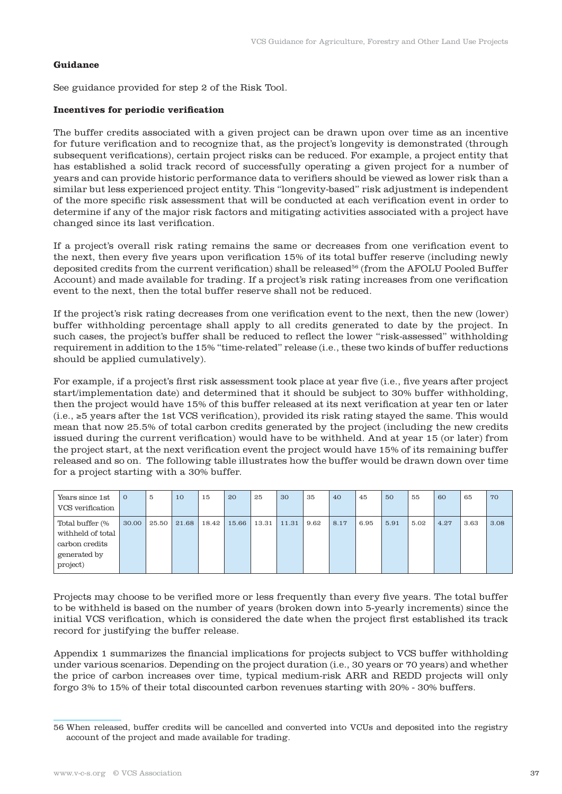# **Guidance**

See guidance provided for step 2 of the Risk Tool.

# **Incentives for periodic verification**

The buffer credits associated with a given project can be drawn upon over time as an incentive for future verification and to recognize that, as the project's longevity is demonstrated (through subsequent verifications), certain project risks can be reduced. For example, a project entity that has established a solid track record of successfully operating a given project for a number of years and can provide historic performance data to verifiers should be viewed as lower risk than a similar but less experienced project entity. This "longevity-based" risk adjustment is independent of the more specific risk assessment that will be conducted at each verification event in order to determine if any of the major risk factors and mitigating activities associated with a project have changed since its last verification.

If a project's overall risk rating remains the same or decreases from one verification event to the next, then every five years upon verification 15% of its total buffer reserve (including newly deposited credits from the current verification) shall be released<sup>56</sup> (from the AFOLU Pooled Buffer Account) and made available for trading. If a project's risk rating increases from one verification event to the next, then the total buffer reserve shall not be reduced.

If the project's risk rating decreases from one verification event to the next, then the new (lower) buffer withholding percentage shall apply to all credits generated to date by the project. In such cases, the project's buffer shall be reduced to reflect the lower "risk-assessed" withholding requirement in addition to the 15% "time-related" release (i.e., these two kinds of buffer reductions should be applied cumulatively).

For example, if a project's first risk assessment took place at year five (i.e., five years after project start/implementation date) and determined that it should be subject to 30% buffer withholding, then the project would have 15% of this buffer released at its next verification at year ten or later (i.e., ≥5 years after the 1st VCS verification), provided its risk rating stayed the same. This would mean that now 25.5% of total carbon credits generated by the project (including the new credits issued during the current verification) would have to be withheld. And at year 15 (or later) from the project start, at the next verification event the project would have 15% of its remaining buffer released and so on. The following table illustrates how the buffer would be drawn down over time for a project starting with a 30% buffer.

| Years since 1st<br>VCS verification                                                | $\mathbf{O}$ | 5     | 10    | 15    | 20    | 25    | 30    | 35   | 40   | 45   | 50   | 55   | 60   | 65   | 70   |
|------------------------------------------------------------------------------------|--------------|-------|-------|-------|-------|-------|-------|------|------|------|------|------|------|------|------|
| Total buffer (%<br>withheld of total<br>carbon credits<br>generated by<br>project) | 30.00        | 25.50 | 21.68 | 18.42 | 15.66 | 13.31 | 11.31 | 9.62 | 8.17 | 6.95 | 5.91 | 5.02 | 4.27 | 3.63 | 3.08 |

Projects may choose to be verified more or less frequently than every five years. The total buffer to be withheld is based on the number of years (broken down into 5-yearly increments) since the initial VCS verification, which is considered the date when the project first established its track record for justifying the buffer release.

Appendix 1 summarizes the financial implications for projects subject to VCS buffer withholding under various scenarios. Depending on the project duration (i.e., 30 years or 70 years) and whether the price of carbon increases over time, typical medium-risk ARR and REDD projects will only forgo 3% to 15% of their total discounted carbon revenues starting with 20% - 30% buffers.

<sup>56</sup> When released, buffer credits will be cancelled and converted into VCUs and deposited into the registry account of the project and made available for trading.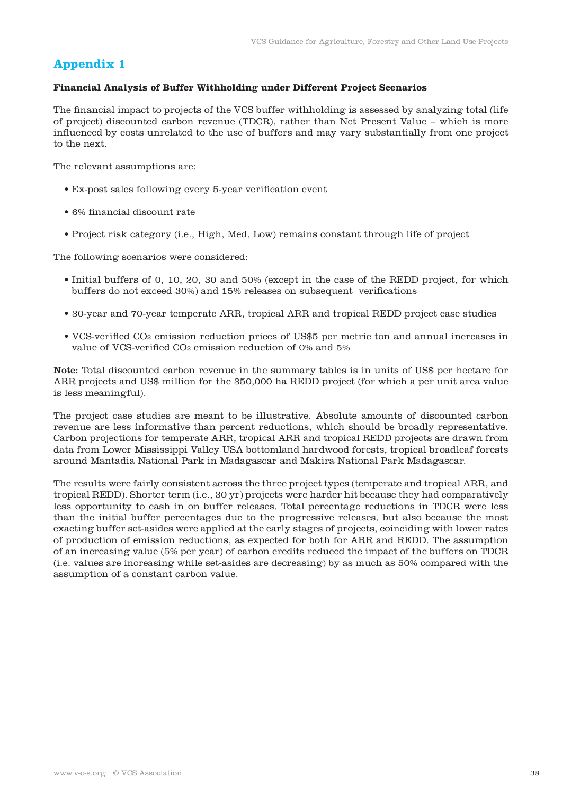# **Appendix 1**

# **Financial Analysis of Buffer Withholding under Different Project Scenarios**

The financial impact to projects of the VCS buffer withholding is assessed by analyzing total (life of project) discounted carbon revenue (TDCR), rather than Net Present Value – which is more influenced by costs unrelated to the use of buffers and may vary substantially from one project to the next.

The relevant assumptions are:

- Ex-post sales following every 5-year verification event
- 6% financial discount rate
- Project risk category (i.e., High, Med, Low) remains constant through life of project

The following scenarios were considered:

- Initial buffers of 0, 10, 20, 30 and 50% (except in the case of the REDD project, for which buffers do not exceed 30%) and 15% releases on subsequent verifications
- 30-year and 70-year temperate ARR, tropical ARR and tropical REDD project case studies
- VCS-verified CO2 emission reduction prices of US\$5 per metric ton and annual increases in value of VCS-verified CO2 emission reduction of 0% and 5%

Note: Total discounted carbon revenue in the summary tables is in units of US\$ per hectare for ARR projects and US\$ million for the 350,000 ha REDD project (for which a per unit area value is less meaningful).

The project case studies are meant to be illustrative. Absolute amounts of discounted carbon revenue are less informative than percent reductions, which should be broadly representative. Carbon projections for temperate ARR, tropical ARR and tropical REDD projects are drawn from data from Lower Mississippi Valley USA bottomland hardwood forests, tropical broadleaf forests around Mantadia National Park in Madagascar and Makira National Park Madagascar.

The results were fairly consistent across the three project types (temperate and tropical ARR, and tropical REDD). Shorter term (i.e., 30 yr) projects were harder hit because they had comparatively less opportunity to cash in on buffer releases. Total percentage reductions in TDCR were less than the initial buffer percentages due to the progressive releases, but also because the most exacting buffer set-asides were applied at the early stages of projects, coinciding with lower rates of production of emission reductions, as expected for both for ARR and REDD. The assumption of an increasing value (5% per year) of carbon credits reduced the impact of the buffers on TDCR (i.e. values are increasing while set-asides are decreasing) by as much as 50% compared with the assumption of a constant carbon value.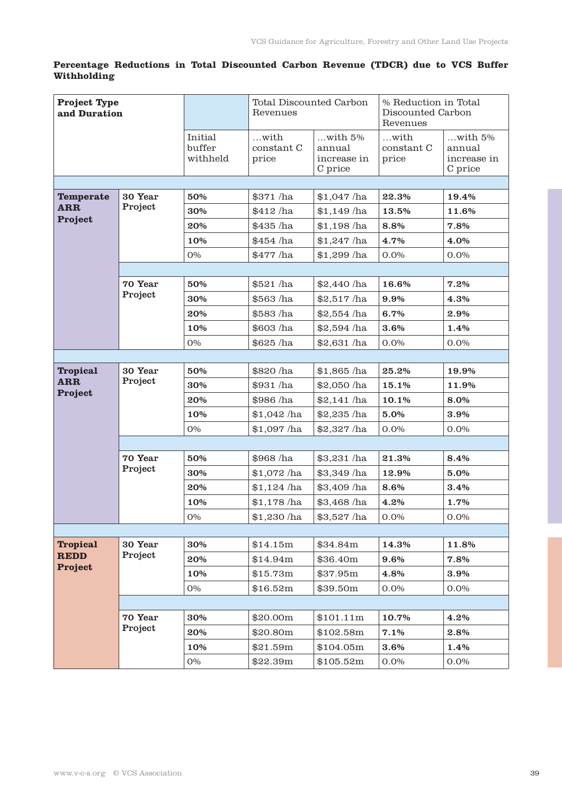# **Percentage Reductions in Total Discounted Carbon Revenue (TDCR) due to VCS Buffer Withholding**

| <b>Project Type</b><br>and Duration |                    |                               | <b>Total Discounted Carbon</b><br>Revenues |                                                  | % Reduction in Total<br>Discounted Carbon<br>Revenues |                                                  |  |
|-------------------------------------|--------------------|-------------------------------|--------------------------------------------|--------------------------------------------------|-------------------------------------------------------|--------------------------------------------------|--|
|                                     |                    | Initial<br>buffer<br>withheld | with<br>constant C<br>price                | $$ with $5%$<br>annual<br>increase in<br>C price | $$ with<br>constant C<br>price                        | $$ with $5%$<br>annual<br>increase in<br>C price |  |
|                                     |                    |                               |                                            |                                                  |                                                       |                                                  |  |
| <b>Temperate</b>                    | 30 Year<br>Project | 50%                           | $$371$ /ha                                 | $$1,047$ /ha                                     | 22.3%                                                 | 19.4%                                            |  |
| <b>ARR</b><br>Project               |                    | 30%                           | $$412$ /ha                                 | $$1,149$ /ha                                     | 13.5%                                                 | 11.6%                                            |  |
|                                     |                    | 20%                           | \$435 /ha                                  | $$1,198$ /ha                                     | 8.8%                                                  | 7.8%                                             |  |
|                                     |                    | 10%                           | $$454$ /ha                                 | $$1,247$ /ha                                     | 4.7%                                                  | 4.0%                                             |  |
|                                     |                    | 0%                            | $$477$ /ha                                 | $$1,299$ /ha                                     | 0.0%                                                  | 0.0%                                             |  |
|                                     |                    |                               |                                            |                                                  |                                                       |                                                  |  |
|                                     | 70 Year            | 50%                           | \$521 /ha                                  | \$2,440 /ha                                      | 16.6%                                                 | 7.2%                                             |  |
|                                     | Project            | 30%                           | \$563/ha                                   | \$2,517/ha                                       | 9.9%                                                  | 4.3%                                             |  |
|                                     |                    | 20%                           | \$583 /ha                                  | \$2,554 /ha                                      | 6.7%                                                  | 2.9%                                             |  |
|                                     |                    | 10%                           | $$603$ /ha                                 | $$2,594$ /ha                                     | 3.6%                                                  | 1.4%                                             |  |
|                                     |                    | 0%                            | $$625$ /ha                                 | $$2,631$ /ha                                     | 0.0%                                                  | 0.0%                                             |  |
|                                     |                    |                               |                                            |                                                  |                                                       |                                                  |  |
| <b>Tropical</b>                     | 30 Year<br>Project | 50%                           | \$820 /ha                                  | $$1,865$ /ha                                     | 25.2%                                                 | 19.9%                                            |  |
| <b>ARR</b><br>Project               |                    | 30%                           | \$931 /ha                                  | \$2,050 /ha                                      | 15.1%                                                 | 11.9%                                            |  |
|                                     |                    | 20%                           | \$986 /ha                                  | $$2,141$ /ha                                     | 10.1%                                                 | 8.0%                                             |  |
|                                     |                    | 10%                           | $$1,042$ /ha                               | $$2,235$ /ha                                     | 5.0%                                                  | 3.9%                                             |  |
|                                     |                    | 0%                            | $$1,097$ /ha                               | \$2,327 /ha                                      | 0.0%                                                  | $0.0\%$                                          |  |
|                                     |                    |                               |                                            |                                                  |                                                       |                                                  |  |
|                                     | 70 Year<br>Project | 50%                           | \$968/ha                                   | $$3,231$ /ha                                     | 21.3%                                                 | 8.4%                                             |  |
|                                     |                    | 30%                           | $$1,072$ /ha                               | $$3,349$ /ha                                     | 12.9%                                                 | 5.0%                                             |  |
|                                     |                    | 20%                           | $$1,124$ /ha                               | $$3,409$ /ha                                     | 8.6%                                                  | 3.4%                                             |  |
|                                     |                    | 10%                           | $$1,178$ /ha                               | \$3,468 /ha                                      | 4.2%                                                  | 1.7%                                             |  |
|                                     |                    | 0%                            | \$1,230 /ha                                | \$3,527 /ha                                      | $0.0\%$                                               | 0.0%                                             |  |
|                                     |                    |                               |                                            |                                                  |                                                       |                                                  |  |
| <b>Tropical</b><br><b>REDD</b>      | 30 Year<br>Project | 30%                           | \$14.15m                                   | \$34.84m                                         | 14.3%                                                 | 11.8%                                            |  |
| <b>Project</b>                      |                    | 20%                           | \$14.94m                                   | \$36.40m                                         | 9.6%                                                  | 7.8%                                             |  |
|                                     |                    | 10%                           | \$15.73m                                   | \$37.95m                                         | 4.8%                                                  | 3.9%                                             |  |
|                                     |                    | 0%                            | \$16.52m                                   | \$39.50m                                         | 0.0%                                                  | $0.0\%$                                          |  |
|                                     |                    |                               |                                            |                                                  |                                                       |                                                  |  |
|                                     | 70 Year<br>Project | 30%                           | \$20.00m                                   | \$101.11m                                        | 10.7%                                                 | 4.2%                                             |  |
|                                     |                    | 20%                           | \$20.80m                                   | \$102.58m                                        | 7.1%                                                  | 2.8%                                             |  |
|                                     |                    | 10%                           | \$21.59m                                   | \$104.05m                                        | 3.6%                                                  | 1.4%                                             |  |
|                                     |                    | 0%                            | \$22.39m                                   | \$105.52m                                        | 0.0%                                                  | 0.0%                                             |  |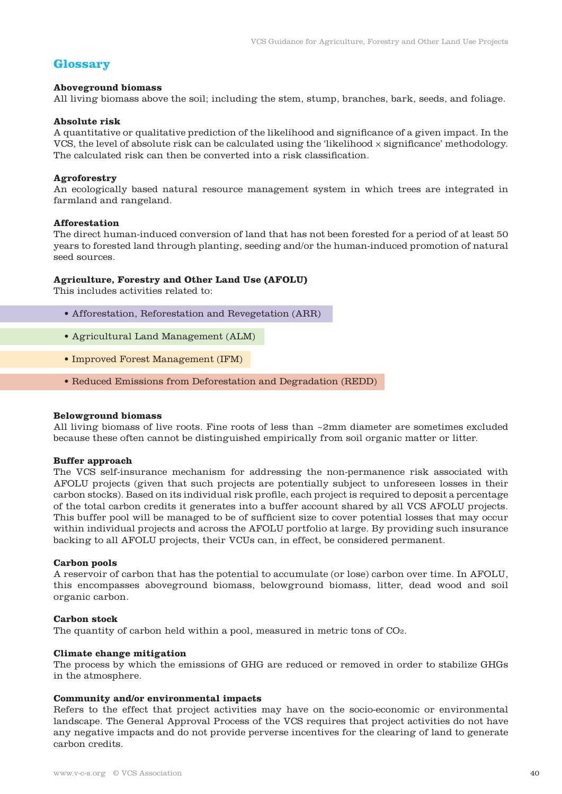# **Glossary**

# **Aboveground biomass**

All living biomass above the soil; including the stem, stump, branches, bark, seeds, and foliage.

## **Absolute risk**

A quantitative or qualitative prediction of the likelihood and significance of a given impact. In the VCS, the level of absolute risk can be calculated using the 'likelihood  $\times$  significance' methodology. The calculated risk can then be converted into a risk classification.

# **Agroforestry**

An ecologically based natural resource management system in which trees are integrated in farmland and rangeland.

# **Afforestation**

The direct human-induced conversion of land that has not been forested for a period of at least 50 years to forested land through planting, seeding and/or the human-induced promotion of natural seed sources.

# **Agriculture, Forestry and Other Land Use (AFOLU)**

This includes activities related to:

- Afforestation, Reforestation and Revegetation (ARR)
- Agricultural Land Management (ALM)
- Improved Forest Management (IFM)
- Reduced Emissions from Deforestation and Degradation (REDD)

#### **Belowground biomass**

All living biomass of live roots. Fine roots of less than ~2mm diameter are sometimes excluded because these often cannot be distinguished empirically from soil organic matter or litter.

# **Buffer approach**

The VCS self-insurance mechanism for addressing the non-permanence risk associated with AFOLU projects (given that such projects are potentially subject to unforeseen losses in their carbon stocks). Based on its individual risk profile, each project is required to deposit a percentage of the total carbon credits it generates into a buffer account shared by all VCS AFOLU projects. This buffer pool will be managed to be of sufficient size to cover potential losses that may occur within individual projects and across the AFOLU portfolio at large. By providing such insurance backing to all AFOLU projects, their VCUs can, in effect, be considered permanent.

#### **Carbon pools**

A reservoir of carbon that has the potential to accumulate (or lose) carbon over time. In AFOLU, this encompasses aboveground biomass, belowground biomass, litter, dead wood and soil organic carbon.

#### **Carbon stock**

The quantity of carbon held within a pool, measured in metric tons of CO2.

#### **Climate change mitigation**

The process by which the emissions of GHG are reduced or removed in order to stabilize GHGs in the atmosphere.

#### **Community and/or environmental impacts**

Refers to the effect that project activities may have on the socio-economic or environmental landscape. The General Approval Process of the VCS requires that project activities do not have any negative impacts and do not provide perverse incentives for the clearing of land to generate carbon credits.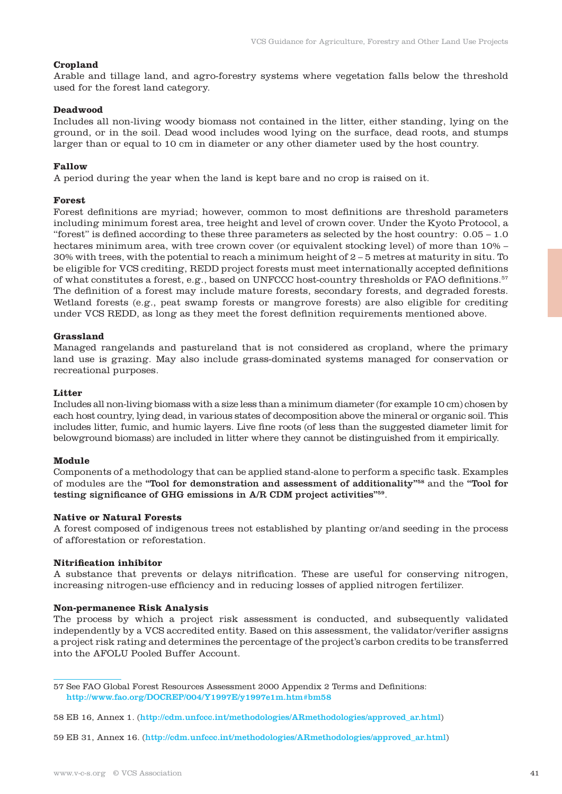### **Cropland**

Arable and tillage land, and agro-forestry systems where vegetation falls below the threshold used for the forest land category.

# **Deadwood**

Includes all non-living woody biomass not contained in the litter, either standing, lying on the ground, or in the soil. Dead wood includes wood lying on the surface, dead roots, and stumps larger than or equal to 10 cm in diameter or any other diameter used by the host country.

#### **Fallow**

A period during the year when the land is kept bare and no crop is raised on it.

#### **Forest**

Forest definitions are myriad; however, common to most definitions are threshold parameters including minimum forest area, tree height and level of crown cover. Under the Kyoto Protocol, a "forest" is defined according to these three parameters as selected by the host country:  $0.05 - 1.0$ hectares minimum area, with tree crown cover (or equivalent stocking level) of more than 10% – 30% with trees, with the potential to reach a minimum height of 2 – 5 metres at maturity in situ. To be eligible for VCS crediting, REDD project forests must meet internationally accepted definitions of what constitutes a forest, e.g., based on UNFCCC host-country thresholds or FAO definitions.57 The definition of a forest may include mature forests, secondary forests, and degraded forests. Wetland forests (e.g., peat swamp forests or mangrove forests) are also eligible for crediting under VCS REDD, as long as they meet the forest definition requirements mentioned above.

#### **Grassland**

Managed rangelands and pastureland that is not considered as cropland, where the primary land use is grazing. May also include grass-dominated systems managed for conservation or recreational purposes.

# **Litter**

Includes all non-living biomass with a size less than a minimum diameter (for example 10 cm) chosen by each host country, lying dead, in various states of decomposition above the mineral or organic soil. This includes litter, fumic, and humic layers. Live fine roots (of less than the suggested diameter limit for belowground biomass) are included in litter where they cannot be distinguished from it empirically.

#### **Module**

Components of a methodology that can be applied stand-alone to perform a specific task. Examples of modules are the "Tool for demonstration and assessment of additionality"58 and the "Tool for testing significance of GHG emissions in A/R CDM project activities"59.

# **Native or Natural Forests**

A forest composed of indigenous trees not established by planting or/and seeding in the process of afforestation or reforestation.

# **Nitrification inhibitor**

A substance that prevents or delays nitrification. These are useful for conserving nitrogen, increasing nitrogen-use efficiency and in reducing losses of applied nitrogen fertilizer.

#### **Non-permanence Risk Analysis**

The process by which a project risk assessment is conducted, and subsequently validated independently by a VCS accredited entity. Based on this assessment, the validator/verifier assigns a project risk rating and determines the percentage of the project's carbon credits to be transferred into the AFOLU Pooled Buffer Account.

59 EB 31, Annex 16. (http://cdm.unfccc.int/methodologies/ARmethodologies/approved\_ar.html)

<sup>57</sup> See FAO Global Forest Resources Assessment 2000 Appendix 2 Terms and Definitions: http://www.fao.org/DOCREP/004/Y1997E/y1997e1m.htm#bm58

<sup>58</sup> EB 16, Annex 1. (http://cdm.unfccc.int/methodologies/ARmethodologies/approved\_ar.html)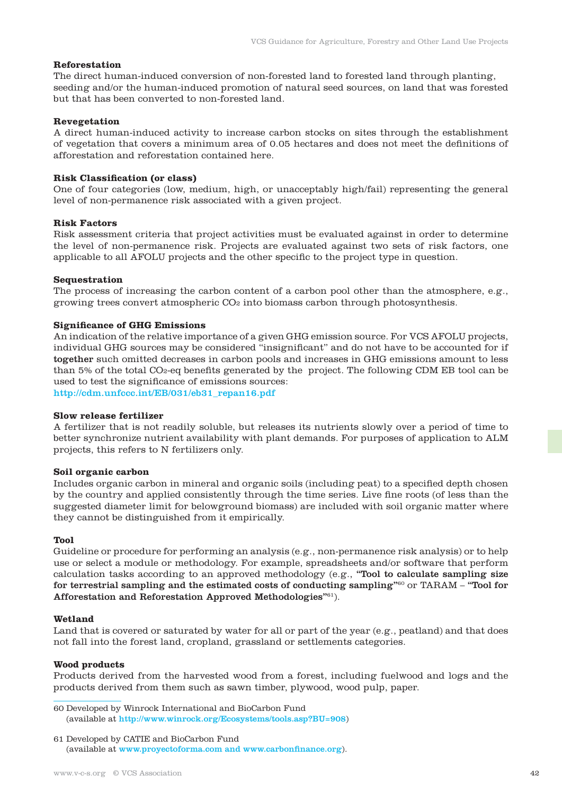#### **Reforestation**

The direct human-induced conversion of non-forested land to forested land through planting, seeding and/or the human-induced promotion of natural seed sources, on land that was forested but that has been converted to non-forested land.

#### **Revegetation**

A direct human-induced activity to increase carbon stocks on sites through the establishment of vegetation that covers a minimum area of 0.05 hectares and does not meet the definitions of afforestation and reforestation contained here.

#### **Risk Classification (or class)**

One of four categories (low, medium, high, or unacceptably high/fail) representing the general level of non-permanence risk associated with a given project.

### **Risk Factors**

Risk assessment criteria that project activities must be evaluated against in order to determine the level of non-permanence risk. Projects are evaluated against two sets of risk factors, one applicable to all AFOLU projects and the other specific to the project type in question.

#### **Sequestration**

The process of increasing the carbon content of a carbon pool other than the atmosphere, e.g., growing trees convert atmospheric CO2 into biomass carbon through photosynthesis.

# **Significance of GHG Emissions**

An indication of the relative importance of a given GHG emission source. For VCS AFOLU projects, individual GHG sources may be considered "insignificant" and do not have to be accounted for if together such omitted decreases in carbon pools and increases in GHG emissions amount to less than 5% of the total CO2-eq benefits generated by the project. The following CDM EB tool can be used to test the significance of emissions sources:

http://cdm.unfccc.int/EB/031/eb31\_repan16.pdf

#### **Slow release fertilizer**

A fertilizer that is not readily soluble, but releases its nutrients slowly over a period of time to better synchronize nutrient availability with plant demands. For purposes of application to ALM projects, this refers to N fertilizers only.

#### **Soil organic carbon**

Includes organic carbon in mineral and organic soils (including peat) to a specified depth chosen by the country and applied consistently through the time series. Live fine roots (of less than the suggested diameter limit for belowground biomass) are included with soil organic matter where they cannot be distinguished from it empirically.

#### **Tool**

Guideline or procedure for performing an analysis (e.g., non-permanence risk analysis) or to help use or select a module or methodology. For example, spreadsheets and/or software that perform calculation tasks according to an approved methodology (e.g., "Tool to calculate sampling size for terrestrial sampling and the estimated costs of conducting sampling"<sup>60</sup> or TARAM – "Tool for Afforestation and Reforestation Approved Methodologies"61).

#### **Wetland**

Land that is covered or saturated by water for all or part of the year (e.g., peatland) and that does not fall into the forest land, cropland, grassland or settlements categories.

# **Wood products**

Products derived from the harvested wood from a forest, including fuelwood and logs and the products derived from them such as sawn timber, plywood, wood pulp, paper.

60 Developed by Winrock International and BioCarbon Fund (available at http://www.winrock.org/Ecosystems/tools.asp?BU=908)

<sup>61</sup> Developed by CATIE and BioCarbon Fund (available at www.proyectoforma.com and www.carbonfinance.org).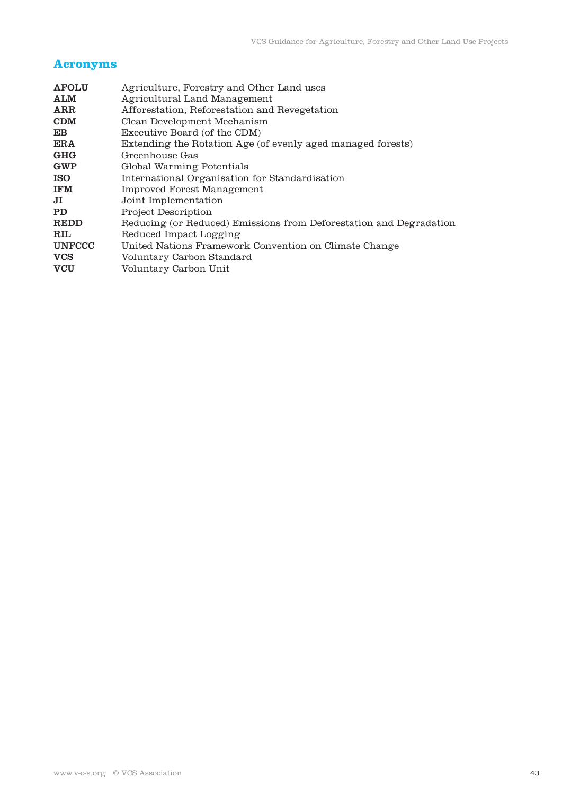# **Acronyms**

| <b>AFOLU</b>                     | Agriculture, Forestry and Other Land uses                          |
|----------------------------------|--------------------------------------------------------------------|
| <b>ALM</b>                       | Agricultural Land Management                                       |
| ARR                              | Afforestation, Reforestation and Revegetation                      |
| <b>CDM</b>                       | Clean Development Mechanism                                        |
| E B                              | Executive Board (of the CDM)                                       |
| ERA                              | Extending the Rotation Age (of evenly aged managed forests)        |
| GHG                              | Greenhouse Gas                                                     |
| <b>GWP</b>                       | Global Warming Potentials                                          |
| <b>ISO</b>                       | International Organisation for Standardisation                     |
| <b>IFM</b>                       | Improved Forest Management                                         |
| JI                               | Joint Implementation                                               |
| <b>PD</b>                        | <b>Project Description</b>                                         |
| <b>REDD</b>                      | Reducing (or Reduced) Emissions from Deforestation and Degradation |
| $\mathbf{R}\mathbf{I}\mathbf{L}$ | Reduced Impact Logging                                             |
| <b>UNFCCC</b>                    | United Nations Framework Convention on Climate Change              |
| <b>VCS</b>                       | Voluntary Carbon Standard                                          |
| <b>VCU</b>                       | Voluntary Carbon Unit                                              |